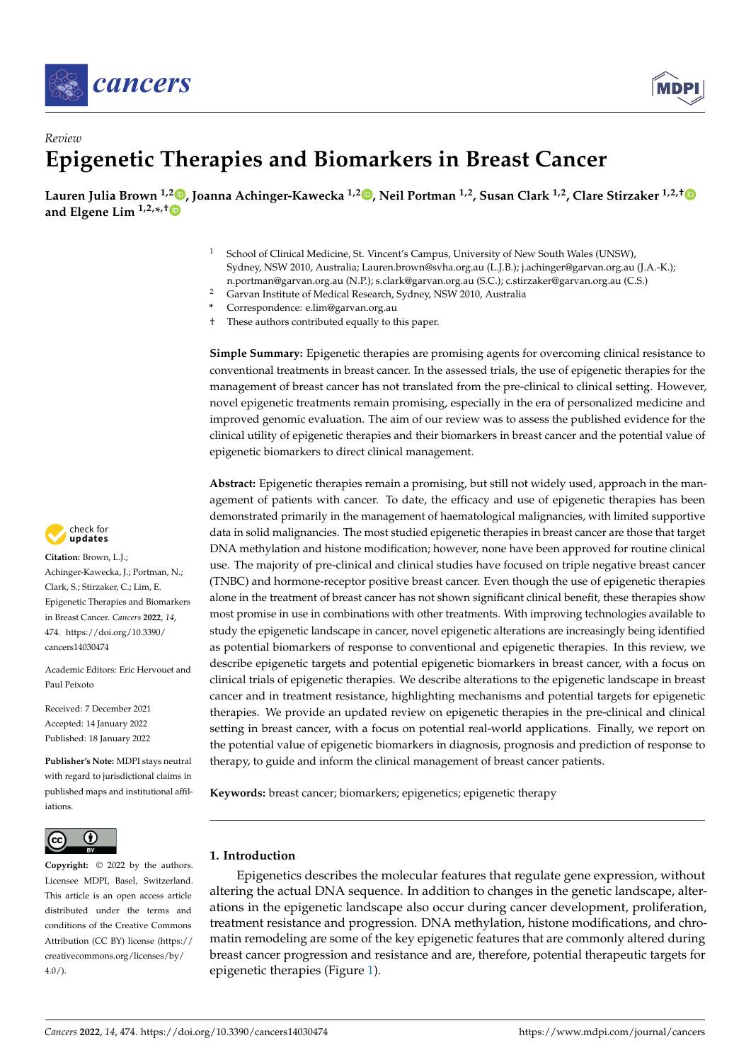



# *Review* **Epigenetic Therapies and Biomarkers in Breast Cancer**

**Lauren Julia Brown 1,2 [,](https://orcid.org/0000-0002-9340-8392) Joanna Achinger-Kawecka 1,2 [,](https://orcid.org/0000-0002-2902-9371) Neil Portman 1,2, Susan Clark 1,2, Clare Stirzaker 1,2,[†](https://orcid.org/0000-0001-5601-3140) and Elgene Lim 1,2,\* ,[†](https://orcid.org/0000-0001-8065-8838)**

- <sup>1</sup> School of Clinical Medicine, St. Vincent's Campus, University of New South Wales (UNSW), Sydney, NSW 2010, Australia; Lauren.brown@svha.org.au (L.J.B.); j.achinger@garvan.org.au (J.A.-K.); n.portman@garvan.org.au (N.P.); s.clark@garvan.org.au (S.C.); c.stirzaker@garvan.org.au (C.S.)
- <sup>2</sup> Garvan Institute of Medical Research, Sydney, NSW 2010, Australia
- **\*** Correspondence: e.lim@garvan.org.au
- † These authors contributed equally to this paper.

**Simple Summary:** Epigenetic therapies are promising agents for overcoming clinical resistance to conventional treatments in breast cancer. In the assessed trials, the use of epigenetic therapies for the management of breast cancer has not translated from the pre-clinical to clinical setting. However, novel epigenetic treatments remain promising, especially in the era of personalized medicine and improved genomic evaluation. The aim of our review was to assess the published evidence for the clinical utility of epigenetic therapies and their biomarkers in breast cancer and the potential value of epigenetic biomarkers to direct clinical management.

**Abstract:** Epigenetic therapies remain a promising, but still not widely used, approach in the management of patients with cancer. To date, the efficacy and use of epigenetic therapies has been demonstrated primarily in the management of haematological malignancies, with limited supportive data in solid malignancies. The most studied epigenetic therapies in breast cancer are those that target DNA methylation and histone modification; however, none have been approved for routine clinical use. The majority of pre-clinical and clinical studies have focused on triple negative breast cancer (TNBC) and hormone-receptor positive breast cancer. Even though the use of epigenetic therapies alone in the treatment of breast cancer has not shown significant clinical benefit, these therapies show most promise in use in combinations with other treatments. With improving technologies available to study the epigenetic landscape in cancer, novel epigenetic alterations are increasingly being identified as potential biomarkers of response to conventional and epigenetic therapies. In this review, we describe epigenetic targets and potential epigenetic biomarkers in breast cancer, with a focus on clinical trials of epigenetic therapies. We describe alterations to the epigenetic landscape in breast cancer and in treatment resistance, highlighting mechanisms and potential targets for epigenetic therapies. We provide an updated review on epigenetic therapies in the pre-clinical and clinical setting in breast cancer, with a focus on potential real-world applications. Finally, we report on the potential value of epigenetic biomarkers in diagnosis, prognosis and prediction of response to therapy, to guide and inform the clinical management of breast cancer patients.

**Keywords:** breast cancer; biomarkers; epigenetics; epigenetic therapy

## **1. Introduction**

Epigenetics describes the molecular features that regulate gene expression, without altering the actual DNA sequence. In addition to changes in the genetic landscape, alterations in the epigenetic landscape also occur during cancer development, proliferation, treatment resistance and progression. DNA methylation, histone modifications, and chromatin remodeling are some of the key epigenetic features that are commonly altered during breast cancer progression and resistance and are, therefore, potential therapeutic targets for epigenetic therapies (Figure [1\)](#page-1-0).



**Citation:** Brown, L.J.; Achinger-Kawecka, J.; Portman, N.; Clark, S.; Stirzaker, C.; Lim, E. Epigenetic Therapies and Biomarkers in Breast Cancer. *Cancers* **2022**, *14*, 474. [https://doi.org/10.3390/](https://doi.org/10.3390/cancers14030474) [cancers14030474](https://doi.org/10.3390/cancers14030474)

Academic Editors: Eric Hervouet and Paul Peixoto

Received: 7 December 2021 Accepted: 14 January 2022 Published: 18 January 2022

**Publisher's Note:** MDPI stays neutral with regard to jurisdictional claims in published maps and institutional affiliations.



**Copyright:** © 2022 by the authors. Licensee MDPI, Basel, Switzerland. This article is an open access article distributed under the terms and conditions of the Creative Commons Attribution (CC BY) license [\(https://](https://creativecommons.org/licenses/by/4.0/) [creativecommons.org/licenses/by/](https://creativecommons.org/licenses/by/4.0/)  $4.0/$ ).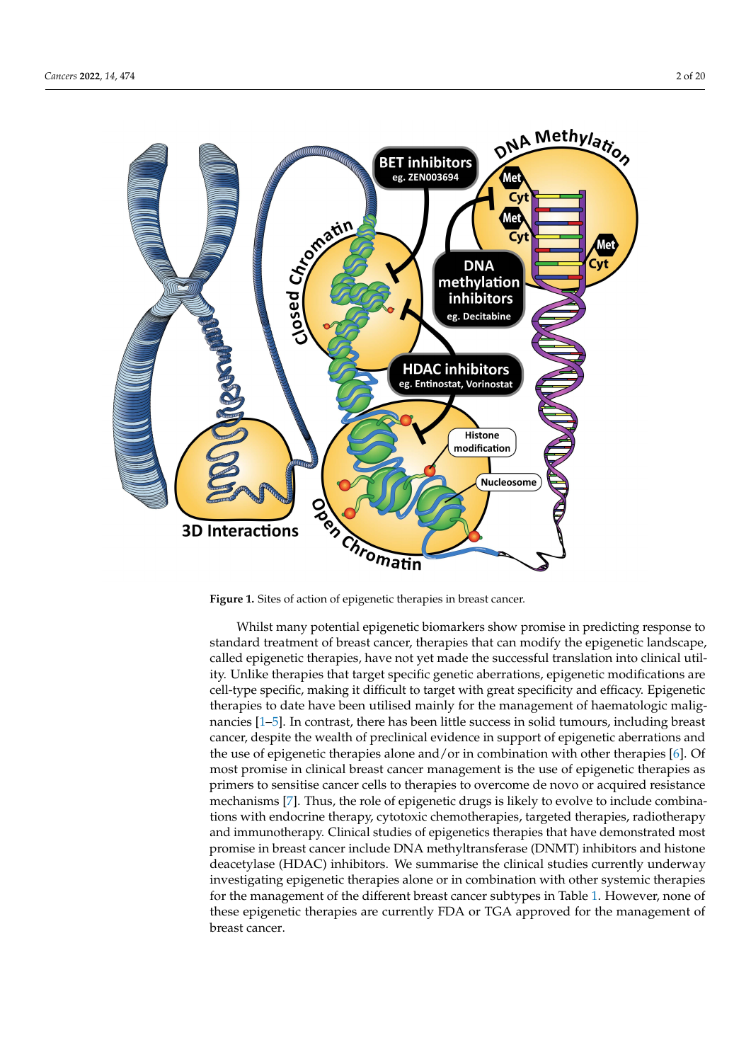<span id="page-1-0"></span>

**Figure 1.** Sites of action of epigenetic therapies in breast cancer.

Whilst many potential epigenetic biomarkers show promise in predicting response to standard treatment of breast cancer, therapies that can modify the epigenetic landscape, called epigenetic therapies, have not yet made the successful translation into clinical utility. Unlike therapies that target specific genetic aberrations, epigenetic modifications are cell-type specific, making it difficult to target with great specificity and efficacy. Epigenetic therapies to date have been utilised mainly for the management of haematologic malignancies [\[1–](#page-13-0)[5\]](#page-13-1). In contrast, there has been little success in solid tumours, including breast cancer, despite the wealth of preclinical evidence in support of epigenetic aberrations and the use of epigenetic therapies alone and/or in combination with other therapies [\[6\]](#page-13-2). Of most promise in clinical breast cancer management is the use of epigenetic therapies as primers to sensitise cancer cells to therapies to overcome de novo or acquired resistance mechanisms [\[7\]](#page-13-3). Thus, the role of epigenetic drugs is likely to evolve to include combinations with endocrine therapy, cytotoxic chemotherapies, targeted therapies, radiotherapy and immunotherapy. Clinical studies of epigenetics therapies that have demonstrated most promise in breast cancer include DNA methyltransferase (DNMT) inhibitors and histone deacetylase (HDAC) inhibitors. We summarise the clinical studies currently underway investigating epigenetic therapies alone or in combination with other systemic therapies for the management of the different breast cancer subtypes in Table [1.](#page-2-0) However, none of these epigenetic therapies are currently FDA or TGA approved for the management of breast cancer.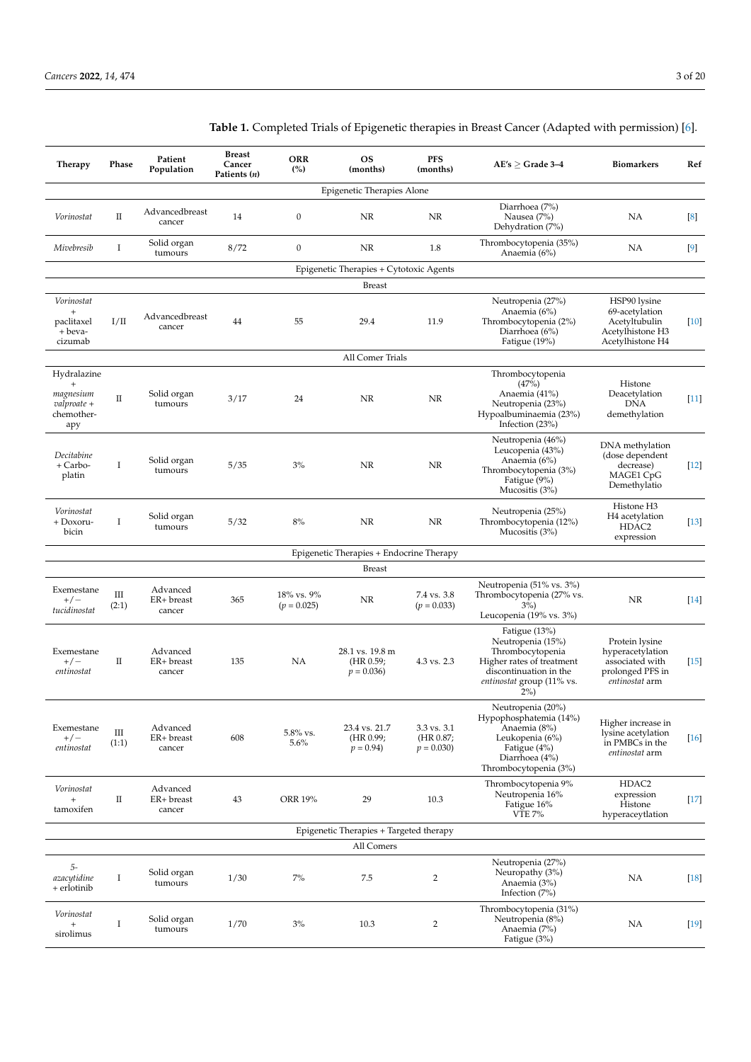| Therapy                                                        | Phase      | Patient<br>Population            | <b>Breast</b><br>Cancer<br>Patients (n) | <b>ORR</b><br>(%)           | <b>OS</b><br>(months)                       | <b>PFS</b><br>(months)                  | $AE's \geq Grade 3-4$                                                                                                                                  | <b>Biomarkers</b>                                                                           | Ref      |  |  |  |  |
|----------------------------------------------------------------|------------|----------------------------------|-----------------------------------------|-----------------------------|---------------------------------------------|-----------------------------------------|--------------------------------------------------------------------------------------------------------------------------------------------------------|---------------------------------------------------------------------------------------------|----------|--|--|--|--|
| Epigenetic Therapies Alone                                     |            |                                  |                                         |                             |                                             |                                         |                                                                                                                                                        |                                                                                             |          |  |  |  |  |
| Vorinostat                                                     | П          | Advancedbreast<br>cancer         | 14                                      | $\boldsymbol{0}$            | NR                                          | NR                                      | Diarrhoea (7%)<br>Nausea (7%)<br>Dehydration (7%)                                                                                                      | NA                                                                                          | $^{[8]}$ |  |  |  |  |
| Mivebresib                                                     | I          | Solid organ<br>tumours           | 8/72                                    | $\boldsymbol{0}$            | NR                                          | 1.8                                     | Thrombocytopenia (35%)<br>Anaemia (6%)                                                                                                                 | NA                                                                                          | $[9]$    |  |  |  |  |
|                                                                |            |                                  |                                         |                             | Epigenetic Therapies + Cytotoxic Agents     |                                         |                                                                                                                                                        |                                                                                             |          |  |  |  |  |
|                                                                |            |                                  |                                         |                             | <b>Breast</b>                               |                                         |                                                                                                                                                        |                                                                                             |          |  |  |  |  |
| Vorinostat<br>$^{+}$<br>paclitaxel<br>+ beva-<br>cizumab       | I/II       | Advancedbreast<br>cancer         | 44                                      | 55                          | 29.4                                        | 11.9                                    | Neutropenia (27%)<br>Anaemia (6%)<br>Thrombocytopenia (2%)<br>Diarrhoea (6%)<br>Fatigue (19%)                                                          | HSP90 lysine<br>69-acetylation<br>Acetyltubulin<br>Acetylhistone H3<br>Acetylhistone H4     | $[10]$   |  |  |  |  |
| All Comer Trials                                               |            |                                  |                                         |                             |                                             |                                         |                                                                                                                                                        |                                                                                             |          |  |  |  |  |
| Hydralazine<br>magnesium<br>$valproate +$<br>chemother-<br>apy | $\rm II$   | Solid organ<br>tumours           | 3/17                                    | 24                          | NR                                          | NR                                      | Thrombocytopenia<br>(47%)<br>Anaemia (41%)<br>Neutropenia (23%)<br>Hypoalbuminaemia (23%)<br>Infection $(23%)$                                         | Histone<br>Deacetylation<br><b>DNA</b><br>demethylation                                     | $[11]$   |  |  |  |  |
| Decitabine<br>+ Carbo-<br>platin                               | Ι.         | Solid organ<br>tumours           | 5/35                                    | 3%                          | NR                                          | NR                                      | Neutropenia (46%)<br>Leucopenia (43%)<br>Anaemia (6%)<br>Thrombocytopenia (3%)<br>Fatigue (9%)<br>Mucositis (3%)                                       | DNA methylation<br>(dose dependent<br>decrease)<br>MAGE1 CpG<br>Demethylatio                | $[12]$   |  |  |  |  |
| Vorinostat<br>+ Doxoru-<br>bicin                               | I          | Solid organ<br>tumours           | 5/32                                    | 8%                          | NR                                          | NR.                                     | Neutropenia (25%)<br>Thrombocytopenia (12%)<br>Mucositis $(3%)$                                                                                        | Histone H <sub>3</sub><br>H <sub>4</sub> acetylation<br>HDAC2<br>expression                 | $[13]$   |  |  |  |  |
|                                                                |            |                                  |                                         |                             | Epigenetic Therapies + Endocrine Therapy    |                                         |                                                                                                                                                        |                                                                                             |          |  |  |  |  |
|                                                                |            |                                  |                                         |                             | <b>Breast</b>                               |                                         |                                                                                                                                                        |                                                                                             |          |  |  |  |  |
| Exemestane<br>$+/-$<br>tucidinostat                            | Ш<br>(2:1) | Advanced<br>ER+ breast<br>cancer | 365                                     | 18% vs. 9%<br>$(p = 0.025)$ | NR                                          | 7.4 vs. 3.8<br>$(p = 0.033)$            | Neutropenia (51% vs. 3%)<br>Thrombocytopenia (27% vs.<br>$3\%)$<br>Leucopenia (19% vs. 3%)                                                             | NR.                                                                                         | $[14]$   |  |  |  |  |
| Exemestane<br>$+/-$<br>entinostat                              | П          | Advanced<br>ER+ breast<br>cancer | 135                                     | NA                          | 28.1 vs. 19.8 m<br>(HR 0.59;<br>$p = 0.036$ | 4.3 vs. 2.3                             | Fatigue $(13%)$<br>Neutropenia (15%)<br>Thrombocytopenia<br>Higher rates of treatment<br>discontinuation in the<br>entinostat group (11% vs.<br>$2\%)$ | Protein lysine<br>hyperacetylation<br>associated with<br>prolonged PFS in<br>entinostat arm | $[15]$   |  |  |  |  |
| Exemestane<br>$+/-$<br>entinostat                              | Ш<br>(1:1) | Advanced<br>ER+ breast<br>cancer | 608                                     | 5.8% vs.<br>5.6%            | 23.4 vs. 21.7<br>(HR 0.99;<br>$p = 0.94$    | 3.3 vs. 3.1<br>(HR 0.87;<br>$p = 0.030$ | Neutropenia (20%)<br>Hypophosphatemia (14%)<br>Anaemia (8%)<br>Leukopenia (6%)<br>Fatigue (4%)<br>Diarrhoea (4%)<br>Thrombocytopenia (3%)              | Higher increase in<br>lysine acetylation<br>in PMBCs in the<br>entinostat arm               | $[16]$   |  |  |  |  |
| Vorinostat<br>$\qquad \qquad +$<br>tamoxifen                   | $\rm II$   | Advanced<br>ER+ breast<br>cancer | 43                                      | ORR 19%                     | 29                                          | 10.3                                    | Thrombocytopenia 9%<br>Neutropenia 16%<br>Fatigue 16%<br><b>VTE 7%</b>                                                                                 | HDAC2<br>expression<br>Histone<br>hyperaceytlation                                          | $[17]$   |  |  |  |  |
|                                                                |            |                                  |                                         |                             | Epigenetic Therapies + Targeted therapy     |                                         |                                                                                                                                                        |                                                                                             |          |  |  |  |  |
|                                                                |            |                                  |                                         |                             | All Comers                                  |                                         |                                                                                                                                                        |                                                                                             |          |  |  |  |  |
| 5-<br>azacytidine<br>+ erlotinib                               | Ι          | Solid organ<br>tumours           | 1/30                                    | $7\%$                       | $7.5\,$                                     | $\overline{2}$                          | Neutropenia (27%)<br>Neuropathy (3%)<br>Anaemia (3%)<br>Infection $(7%)$                                                                               | NA                                                                                          | $[18]$   |  |  |  |  |
| Vorinostat<br>$\! + \!\!\!\!$<br>sirolimus                     | Ι          | Solid organ<br>tumours           | 1/70                                    | 3%                          | 10.3                                        | 2                                       | Thrombocytopenia (31%)<br>Neutropenia (8%)<br>Anaemia (7%)<br>Fatigue (3%)                                                                             | NA                                                                                          | $[19]$   |  |  |  |  |

<span id="page-2-0"></span>**Table 1.** Completed Trials of Epigenetic therapies in Breast Cancer (Adapted with permission) [\[6\]](#page-13-2).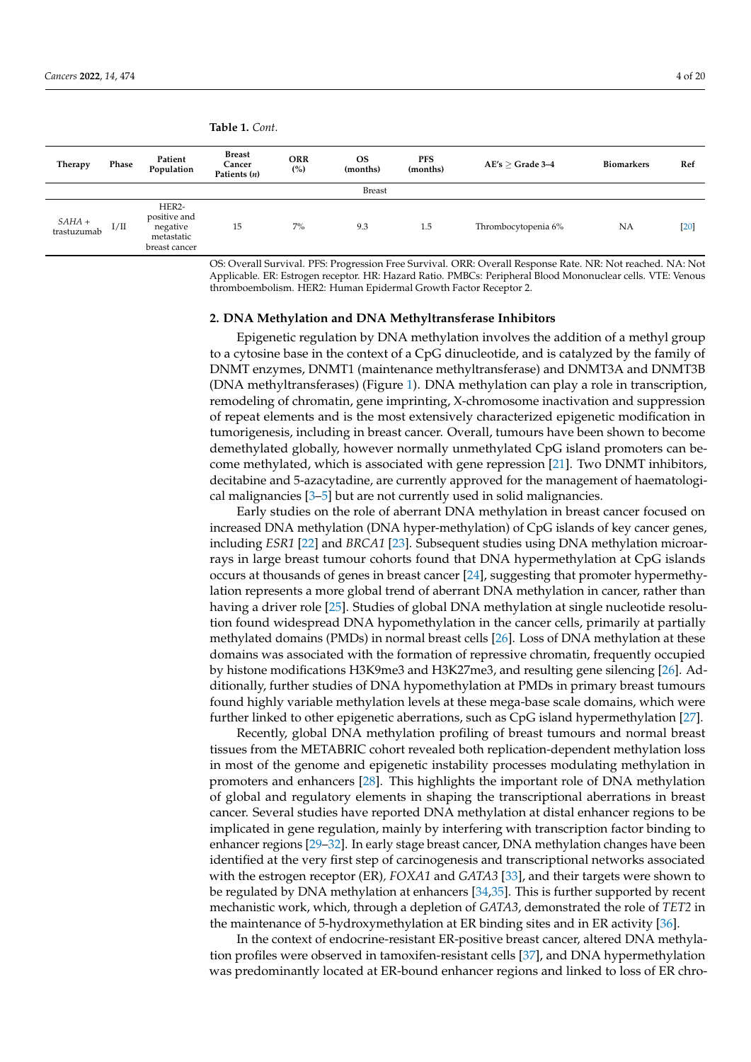**Therapy Phase Patient Population Breast Cancer Patients (***n***) ORR (%) OS (months) PFS**<br>(months) **(months) AE's** <sup>≥</sup> **Grade 3–4 Biomarkers Ref** Breast *SAHA* +  $5AHA +$  I/II HER2 positive and negative metastatic breast cancer 15 7% 9.3 1.5 Thrombocytopenia 6% NA [\[20\]](#page-14-7)

**Table 1.** *Cont.*

OS: Overall Survival. PFS: Progression Free Survival. ORR: Overall Response Rate. NR: Not reached. NA: Not Applicable. ER: Estrogen receptor. HR: Hazard Ratio. PMBCs: Peripheral Blood Mononuclear cells. VTE: Venous thromboembolism. HER2: Human Epidermal Growth Factor Receptor 2.

#### **2. DNA Methylation and DNA Methyltransferase Inhibitors**

Epigenetic regulation by DNA methylation involves the addition of a methyl group to a cytosine base in the context of a CpG dinucleotide, and is catalyzed by the family of DNMT enzymes, DNMT1 (maintenance methyltransferase) and DNMT3A and DNMT3B (DNA methyltransferases) (Figure [1\)](#page-1-0). DNA methylation can play a role in transcription, remodeling of chromatin, gene imprinting, X-chromosome inactivation and suppression of repeat elements and is the most extensively characterized epigenetic modification in tumorigenesis, including in breast cancer. Overall, tumours have been shown to become demethylated globally, however normally unmethylated CpG island promoters can become methylated, which is associated with gene repression [\[21\]](#page-14-8). Two DNMT inhibitors, decitabine and 5-azacytadine, are currently approved for the management of haematological malignancies [\[3–](#page-13-9)[5\]](#page-13-1) but are not currently used in solid malignancies.

Early studies on the role of aberrant DNA methylation in breast cancer focused on increased DNA methylation (DNA hyper-methylation) of CpG islands of key cancer genes, including *ESR1* [\[22\]](#page-14-9) and *BRCA1* [\[23\]](#page-14-10). Subsequent studies using DNA methylation microarrays in large breast tumour cohorts found that DNA hypermethylation at CpG islands occurs at thousands of genes in breast cancer [\[24\]](#page-14-11), suggesting that promoter hypermethylation represents a more global trend of aberrant DNA methylation in cancer, rather than having a driver role [\[25\]](#page-14-12). Studies of global DNA methylation at single nucleotide resolution found widespread DNA hypomethylation in the cancer cells, primarily at partially methylated domains (PMDs) in normal breast cells [\[26\]](#page-14-13). Loss of DNA methylation at these domains was associated with the formation of repressive chromatin, frequently occupied by histone modifications H3K9me3 and H3K27me3, and resulting gene silencing [\[26\]](#page-14-13). Additionally, further studies of DNA hypomethylation at PMDs in primary breast tumours found highly variable methylation levels at these mega-base scale domains, which were further linked to other epigenetic aberrations, such as CpG island hypermethylation [\[27\]](#page-14-14).

Recently, global DNA methylation profiling of breast tumours and normal breast tissues from the METABRIC cohort revealed both replication-dependent methylation loss in most of the genome and epigenetic instability processes modulating methylation in promoters and enhancers [\[28\]](#page-14-15). This highlights the important role of DNA methylation of global and regulatory elements in shaping the transcriptional aberrations in breast cancer. Several studies have reported DNA methylation at distal enhancer regions to be implicated in gene regulation, mainly by interfering with transcription factor binding to enhancer regions [\[29](#page-14-16)[–32\]](#page-14-17). In early stage breast cancer, DNA methylation changes have been identified at the very first step of carcinogenesis and transcriptional networks associated with the estrogen receptor (ER)*, FOXA1* and *GATA3* [\[33\]](#page-14-18), and their targets were shown to be regulated by DNA methylation at enhancers [\[34,](#page-14-19)[35\]](#page-14-20). This is further supported by recent mechanistic work, which, through a depletion of *GATA3*, demonstrated the role of *TET2* in the maintenance of 5-hydroxymethylation at ER binding sites and in ER activity [\[36\]](#page-15-0).

In the context of endocrine-resistant ER-positive breast cancer, altered DNA methylation profiles were observed in tamoxifen-resistant cells [\[37\]](#page-15-1), and DNA hypermethylation was predominantly located at ER-bound enhancer regions and linked to loss of ER chro-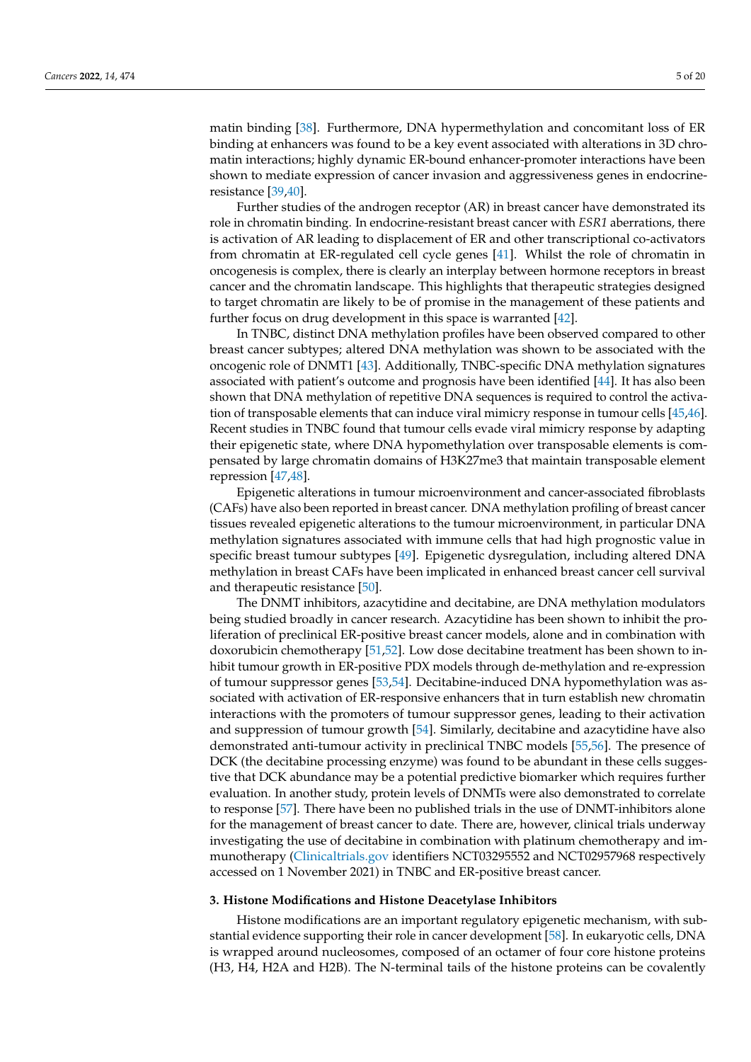matin binding [\[38\]](#page-15-2). Furthermore, DNA hypermethylation and concomitant loss of ER binding at enhancers was found to be a key event associated with alterations in 3D chromatin interactions; highly dynamic ER-bound enhancer-promoter interactions have been shown to mediate expression of cancer invasion and aggressiveness genes in endocrineresistance [\[39](#page-15-3)[,40\]](#page-15-4).

Further studies of the androgen receptor (AR) in breast cancer have demonstrated its role in chromatin binding. In endocrine-resistant breast cancer with *ESR1* aberrations, there is activation of AR leading to displacement of ER and other transcriptional co-activators from chromatin at ER-regulated cell cycle genes [\[41\]](#page-15-5). Whilst the role of chromatin in oncogenesis is complex, there is clearly an interplay between hormone receptors in breast cancer and the chromatin landscape. This highlights that therapeutic strategies designed to target chromatin are likely to be of promise in the management of these patients and further focus on drug development in this space is warranted [\[42\]](#page-15-6).

In TNBC, distinct DNA methylation profiles have been observed compared to other breast cancer subtypes; altered DNA methylation was shown to be associated with the oncogenic role of DNMT1 [\[43\]](#page-15-7). Additionally, TNBC-specific DNA methylation signatures associated with patient's outcome and prognosis have been identified [\[44\]](#page-15-8). It has also been shown that DNA methylation of repetitive DNA sequences is required to control the activation of transposable elements that can induce viral mimicry response in tumour cells [\[45](#page-15-9)[,46\]](#page-15-10). Recent studies in TNBC found that tumour cells evade viral mimicry response by adapting their epigenetic state, where DNA hypomethylation over transposable elements is compensated by large chromatin domains of H3K27me3 that maintain transposable element repression [\[47](#page-15-11)[,48\]](#page-15-12).

Epigenetic alterations in tumour microenvironment and cancer-associated fibroblasts (CAFs) have also been reported in breast cancer. DNA methylation profiling of breast cancer tissues revealed epigenetic alterations to the tumour microenvironment, in particular DNA methylation signatures associated with immune cells that had high prognostic value in specific breast tumour subtypes [\[49\]](#page-15-13). Epigenetic dysregulation, including altered DNA methylation in breast CAFs have been implicated in enhanced breast cancer cell survival and therapeutic resistance [\[50\]](#page-15-14).

The DNMT inhibitors, azacytidine and decitabine, are DNA methylation modulators being studied broadly in cancer research. Azacytidine has been shown to inhibit the proliferation of preclinical ER-positive breast cancer models, alone and in combination with doxorubicin chemotherapy [\[51](#page-15-15)[,52\]](#page-15-16). Low dose decitabine treatment has been shown to inhibit tumour growth in ER-positive PDX models through de-methylation and re-expression of tumour suppressor genes [\[53,](#page-15-17)[54\]](#page-15-18). Decitabine-induced DNA hypomethylation was associated with activation of ER-responsive enhancers that in turn establish new chromatin interactions with the promoters of tumour suppressor genes, leading to their activation and suppression of tumour growth [\[54\]](#page-15-18). Similarly, decitabine and azacytidine have also demonstrated anti-tumour activity in preclinical TNBC models [\[55](#page-15-19)[,56\]](#page-15-20). The presence of DCK (the decitabine processing enzyme) was found to be abundant in these cells suggestive that DCK abundance may be a potential predictive biomarker which requires further evaluation. In another study, protein levels of DNMTs were also demonstrated to correlate to response [\[57\]](#page-15-21). There have been no published trials in the use of DNMT-inhibitors alone for the management of breast cancer to date. There are, however, clinical trials underway investigating the use of decitabine in combination with platinum chemotherapy and immunotherapy [\(Clinicaltrials.gov](Clinicaltrials.gov) identifiers NCT03295552 and NCT02957968 respectively accessed on 1 November 2021) in TNBC and ER-positive breast cancer.

#### **3. Histone Modifications and Histone Deacetylase Inhibitors**

Histone modifications are an important regulatory epigenetic mechanism, with substantial evidence supporting their role in cancer development [\[58\]](#page-15-22). In eukaryotic cells, DNA is wrapped around nucleosomes, composed of an octamer of four core histone proteins (H3, H4, H2A and H2B). The N-terminal tails of the histone proteins can be covalently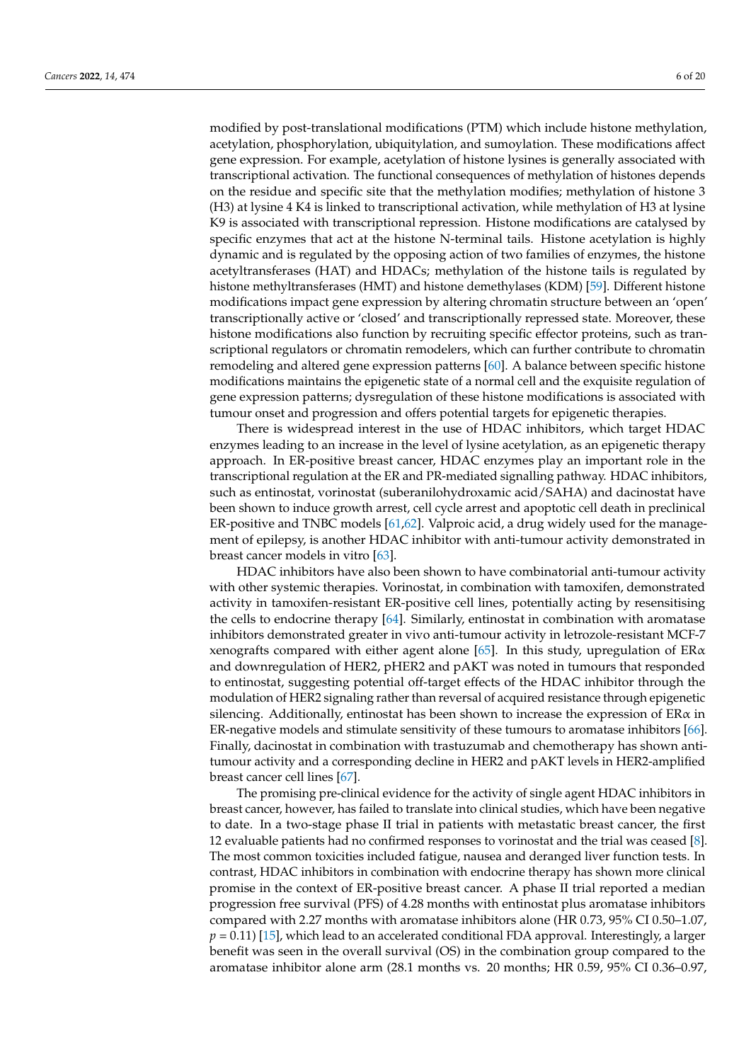modified by post-translational modifications (PTM) which include histone methylation, acetylation, phosphorylation, ubiquitylation, and sumoylation. These modifications affect gene expression. For example, acetylation of histone lysines is generally associated with transcriptional activation. The functional consequences of methylation of histones depends on the residue and specific site that the methylation modifies; methylation of histone 3 (H3) at lysine 4 K4 is linked to transcriptional activation, while methylation of H3 at lysine K9 is associated with transcriptional repression. Histone modifications are catalysed by specific enzymes that act at the histone N-terminal tails. Histone acetylation is highly dynamic and is regulated by the opposing action of two families of enzymes, the histone acetyltransferases (HAT) and HDACs; methylation of the histone tails is regulated by histone methyltransferases (HMT) and histone demethylases (KDM) [\[59\]](#page-15-23). Different histone modifications impact gene expression by altering chromatin structure between an 'open' transcriptionally active or 'closed' and transcriptionally repressed state. Moreover, these histone modifications also function by recruiting specific effector proteins, such as transcriptional regulators or chromatin remodelers, which can further contribute to chromatin remodeling and altered gene expression patterns [\[60\]](#page-15-24). A balance between specific histone modifications maintains the epigenetic state of a normal cell and the exquisite regulation of gene expression patterns; dysregulation of these histone modifications is associated with tumour onset and progression and offers potential targets for epigenetic therapies.

There is widespread interest in the use of HDAC inhibitors, which target HDAC enzymes leading to an increase in the level of lysine acetylation, as an epigenetic therapy approach. In ER-positive breast cancer, HDAC enzymes play an important role in the transcriptional regulation at the ER and PR-mediated signalling pathway. HDAC inhibitors, such as entinostat, vorinostat (suberanilohydroxamic acid/SAHA) and dacinostat have been shown to induce growth arrest, cell cycle arrest and apoptotic cell death in preclinical ER-positive and TNBC models [\[61,](#page-16-0)[62\]](#page-16-1). Valproic acid, a drug widely used for the management of epilepsy, is another HDAC inhibitor with anti-tumour activity demonstrated in breast cancer models in vitro [\[63\]](#page-16-2).

HDAC inhibitors have also been shown to have combinatorial anti-tumour activity with other systemic therapies. Vorinostat, in combination with tamoxifen, demonstrated activity in tamoxifen-resistant ER-positive cell lines, potentially acting by resensitising the cells to endocrine therapy [\[64\]](#page-16-3). Similarly, entinostat in combination with aromatase inhibitors demonstrated greater in vivo anti-tumour activity in letrozole-resistant MCF-7 xenografts compared with either agent alone [\[65\]](#page-16-4). In this study, upregulation of  $ER\alpha$ and downregulation of HER2, pHER2 and pAKT was noted in tumours that responded to entinostat, suggesting potential off-target effects of the HDAC inhibitor through the modulation of HER2 signaling rather than reversal of acquired resistance through epigenetic silencing. Additionally, entinostat has been shown to increase the expression of  $ER\alpha$  in ER-negative models and stimulate sensitivity of these tumours to aromatase inhibitors [\[66\]](#page-16-5). Finally, dacinostat in combination with trastuzumab and chemotherapy has shown antitumour activity and a corresponding decline in HER2 and pAKT levels in HER2-amplified breast cancer cell lines [\[67\]](#page-16-6).

The promising pre-clinical evidence for the activity of single agent HDAC inhibitors in breast cancer, however, has failed to translate into clinical studies, which have been negative to date. In a two-stage phase II trial in patients with metastatic breast cancer, the first 12 evaluable patients had no confirmed responses to vorinostat and the trial was ceased [\[8\]](#page-13-4). The most common toxicities included fatigue, nausea and deranged liver function tests. In contrast, HDAC inhibitors in combination with endocrine therapy has shown more clinical promise in the context of ER-positive breast cancer. A phase II trial reported a median progression free survival (PFS) of 4.28 months with entinostat plus aromatase inhibitors compared with 2.27 months with aromatase inhibitors alone (HR 0.73, 95% CI 0.50–1.07, *p =* 0.11) [\[15\]](#page-14-2), which lead to an accelerated conditional FDA approval. Interestingly, a larger benefit was seen in the overall survival (OS) in the combination group compared to the aromatase inhibitor alone arm (28.1 months vs. 20 months; HR 0.59, 95% CI 0.36–0.97,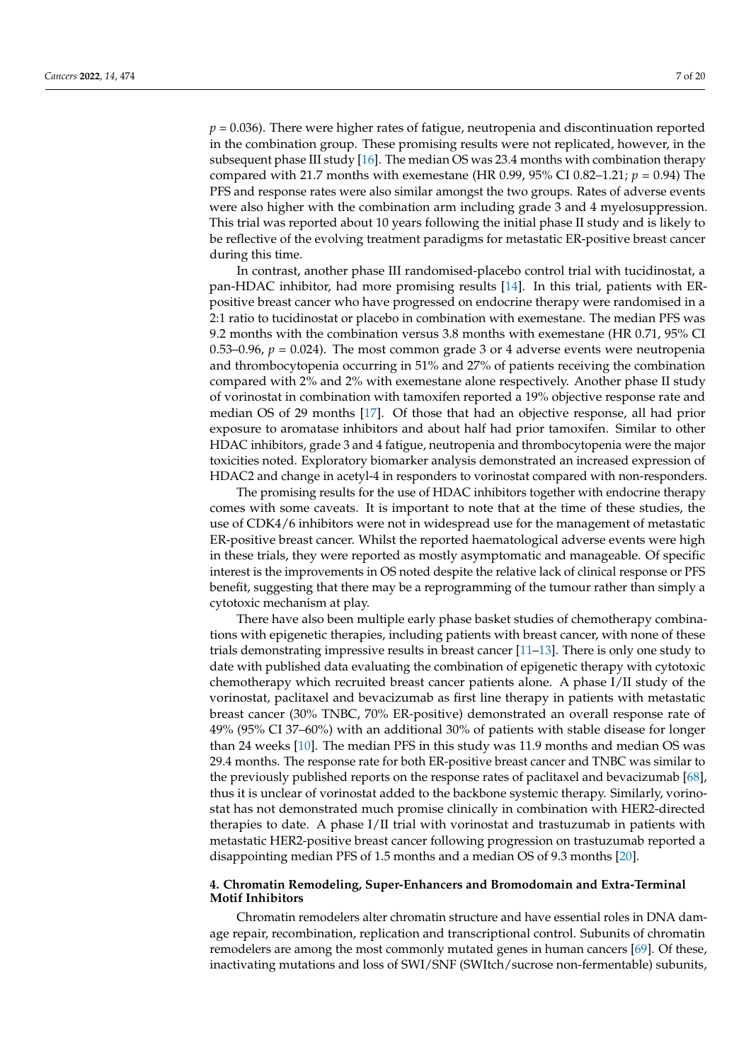*p =* 0.036). There were higher rates of fatigue, neutropenia and discontinuation reported in the combination group. These promising results were not replicated, however, in the subsequent phase III study [\[16\]](#page-14-3). The median OS was 23.4 months with combination therapy compared with 21.7 months with exemestane (HR 0.99, 95% CI 0.82–1.21; *p =* 0.94) The PFS and response rates were also similar amongst the two groups. Rates of adverse events were also higher with the combination arm including grade 3 and 4 myelosuppression. This trial was reported about 10 years following the initial phase II study and is likely to be reflective of the evolving treatment paradigms for metastatic ER-positive breast cancer during this time.

In contrast, another phase III randomised-placebo control trial with tucidinostat, a pan-HDAC inhibitor, had more promising results [\[14\]](#page-14-1). In this trial, patients with ERpositive breast cancer who have progressed on endocrine therapy were randomised in a 2:1 ratio to tucidinostat or placebo in combination with exemestane. The median PFS was 9.2 months with the combination versus 3.8 months with exemestane (HR 0.71, 95% CI 0.53–0.96,  $p = 0.024$ ). The most common grade 3 or 4 adverse events were neutropenia and thrombocytopenia occurring in 51% and 27% of patients receiving the combination compared with 2% and 2% with exemestane alone respectively. Another phase II study of vorinostat in combination with tamoxifen reported a 19% objective response rate and median OS of 29 months [\[17\]](#page-14-4). Of those that had an objective response, all had prior exposure to aromatase inhibitors and about half had prior tamoxifen. Similar to other HDAC inhibitors, grade 3 and 4 fatigue, neutropenia and thrombocytopenia were the major toxicities noted. Exploratory biomarker analysis demonstrated an increased expression of HDAC2 and change in acetyl-4 in responders to vorinostat compared with non-responders.

The promising results for the use of HDAC inhibitors together with endocrine therapy comes with some caveats. It is important to note that at the time of these studies, the use of CDK4/6 inhibitors were not in widespread use for the management of metastatic ER-positive breast cancer. Whilst the reported haematological adverse events were high in these trials, they were reported as mostly asymptomatic and manageable. Of specific interest is the improvements in OS noted despite the relative lack of clinical response or PFS benefit, suggesting that there may be a reprogramming of the tumour rather than simply a cytotoxic mechanism at play.

There have also been multiple early phase basket studies of chemotherapy combinations with epigenetic therapies, including patients with breast cancer, with none of these trials demonstrating impressive results in breast cancer [\[11](#page-13-7)[–13\]](#page-14-0). There is only one study to date with published data evaluating the combination of epigenetic therapy with cytotoxic chemotherapy which recruited breast cancer patients alone. A phase I/II study of the vorinostat, paclitaxel and bevacizumab as first line therapy in patients with metastatic breast cancer (30% TNBC, 70% ER-positive) demonstrated an overall response rate of 49% (95% CI 37–60%) with an additional 30% of patients with stable disease for longer than 24 weeks [\[10\]](#page-13-6). The median PFS in this study was 11.9 months and median OS was 29.4 months. The response rate for both ER-positive breast cancer and TNBC was similar to the previously published reports on the response rates of paclitaxel and bevacizumab [\[68\]](#page-16-7), thus it is unclear of vorinostat added to the backbone systemic therapy. Similarly, vorinostat has not demonstrated much promise clinically in combination with HER2-directed therapies to date. A phase I/II trial with vorinostat and trastuzumab in patients with metastatic HER2-positive breast cancer following progression on trastuzumab reported a disappointing median PFS of 1.5 months and a median OS of 9.3 months [\[20\]](#page-14-7).

## **4. Chromatin Remodeling, Super-Enhancers and Bromodomain and Extra-Terminal Motif Inhibitors**

Chromatin remodelers alter chromatin structure and have essential roles in DNA damage repair, recombination, replication and transcriptional control. Subunits of chromatin remodelers are among the most commonly mutated genes in human cancers [\[69\]](#page-16-8). Of these, inactivating mutations and loss of SWI/SNF (SWItch/sucrose non-fermentable) subunits,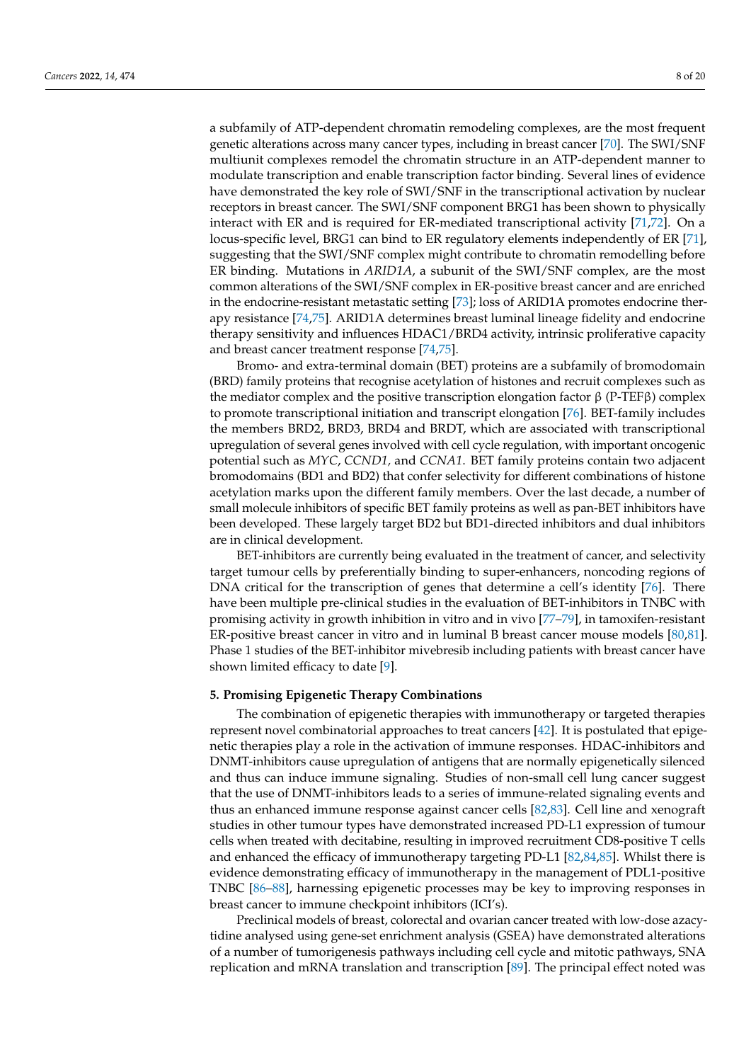a subfamily of ATP-dependent chromatin remodeling complexes, are the most frequent genetic alterations across many cancer types, including in breast cancer [\[70\]](#page-16-9). The SWI/SNF multiunit complexes remodel the chromatin structure in an ATP-dependent manner to modulate transcription and enable transcription factor binding. Several lines of evidence have demonstrated the key role of SWI/SNF in the transcriptional activation by nuclear receptors in breast cancer. The SWI/SNF component BRG1 has been shown to physically interact with ER and is required for ER-mediated transcriptional activity [\[71](#page-16-10)[,72\]](#page-16-11). On a locus-specific level, BRG1 can bind to ER regulatory elements independently of ER [\[71\]](#page-16-10), suggesting that the SWI/SNF complex might contribute to chromatin remodelling before ER binding. Mutations in *ARID1A*, a subunit of the SWI/SNF complex, are the most common alterations of the SWI/SNF complex in ER-positive breast cancer and are enriched in the endocrine-resistant metastatic setting [\[73\]](#page-16-12); loss of ARID1A promotes endocrine therapy resistance [\[74,](#page-16-13)[75\]](#page-16-14). ARID1A determines breast luminal lineage fidelity and endocrine therapy sensitivity and influences HDAC1/BRD4 activity, intrinsic proliferative capacity and breast cancer treatment response [\[74](#page-16-13)[,75\]](#page-16-14).

Bromo- and extra-terminal domain (BET) proteins are a subfamily of bromodomain (BRD) family proteins that recognise acetylation of histones and recruit complexes such as the mediator complex and the positive transcription elongation factor  $\beta$  (P-TEF $\beta$ ) complex to promote transcriptional initiation and transcript elongation [\[76\]](#page-16-15). BET-family includes the members BRD2, BRD3, BRD4 and BRDT, which are associated with transcriptional upregulation of several genes involved with cell cycle regulation, with important oncogenic potential such as *MYC*, *CCND1,* and *CCNA1*. BET family proteins contain two adjacent bromodomains (BD1 and BD2) that confer selectivity for different combinations of histone acetylation marks upon the different family members. Over the last decade, a number of small molecule inhibitors of specific BET family proteins as well as pan-BET inhibitors have been developed. These largely target BD2 but BD1-directed inhibitors and dual inhibitors are in clinical development.

BET-inhibitors are currently being evaluated in the treatment of cancer, and selectivity target tumour cells by preferentially binding to super-enhancers, noncoding regions of DNA critical for the transcription of genes that determine a cell's identity [\[76\]](#page-16-15). There have been multiple pre-clinical studies in the evaluation of BET-inhibitors in TNBC with promising activity in growth inhibition in vitro and in vivo [\[77](#page-16-16)[–79\]](#page-16-17), in tamoxifen-resistant ER-positive breast cancer in vitro and in luminal B breast cancer mouse models [\[80,](#page-16-18)[81\]](#page-16-19). Phase 1 studies of the BET-inhibitor mivebresib including patients with breast cancer have shown limited efficacy to date [\[9\]](#page-13-5).

### **5. Promising Epigenetic Therapy Combinations**

The combination of epigenetic therapies with immunotherapy or targeted therapies represent novel combinatorial approaches to treat cancers [\[42\]](#page-15-6). It is postulated that epigenetic therapies play a role in the activation of immune responses. HDAC-inhibitors and DNMT-inhibitors cause upregulation of antigens that are normally epigenetically silenced and thus can induce immune signaling. Studies of non-small cell lung cancer suggest that the use of DNMT-inhibitors leads to a series of immune-related signaling events and thus an enhanced immune response against cancer cells [\[82](#page-16-20)[,83\]](#page-16-21). Cell line and xenograft studies in other tumour types have demonstrated increased PD-L1 expression of tumour cells when treated with decitabine, resulting in improved recruitment CD8-positive T cells and enhanced the efficacy of immunotherapy targeting PD-L1 [\[82](#page-16-20)[,84](#page-17-0)[,85\]](#page-17-1). Whilst there is evidence demonstrating efficacy of immunotherapy in the management of PDL1-positive TNBC [\[86–](#page-17-2)[88\]](#page-17-3), harnessing epigenetic processes may be key to improving responses in breast cancer to immune checkpoint inhibitors (ICI's).

Preclinical models of breast, colorectal and ovarian cancer treated with low-dose azacytidine analysed using gene-set enrichment analysis (GSEA) have demonstrated alterations of a number of tumorigenesis pathways including cell cycle and mitotic pathways, SNA replication and mRNA translation and transcription [\[89\]](#page-17-4). The principal effect noted was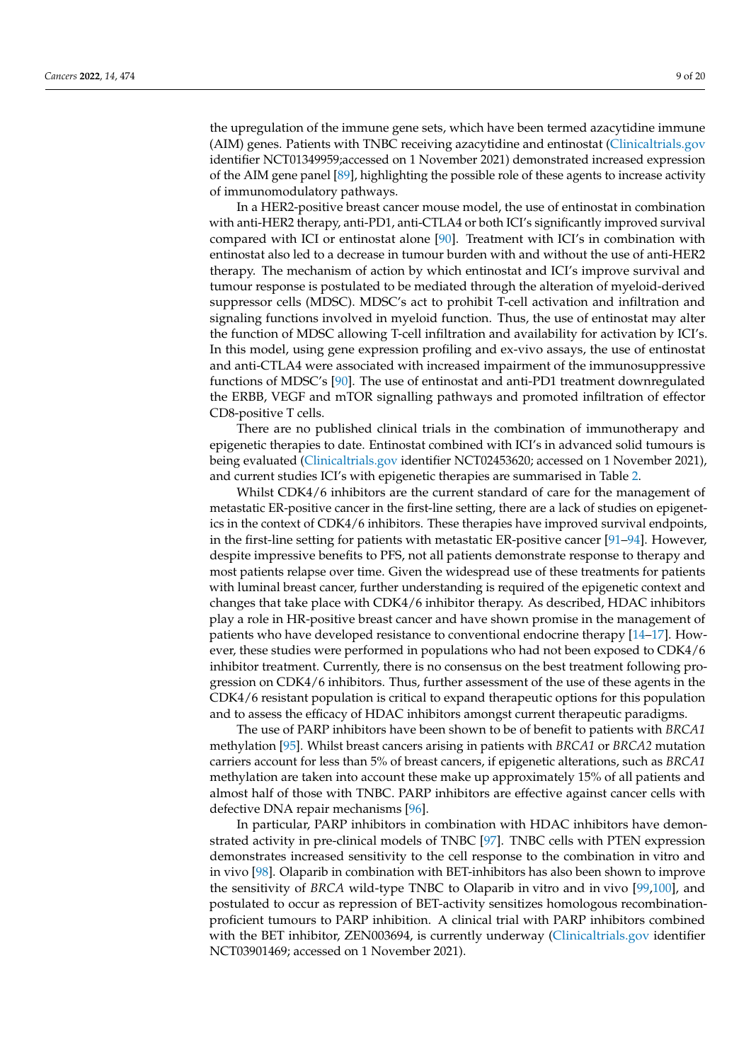the upregulation of the immune gene sets, which have been termed azacytidine immune (AIM) genes. Patients with TNBC receiving azacytidine and entinostat [\(Clinicaltrials.gov](Clinicaltrials.gov) identifier NCT01349959;accessed on 1 November 2021) demonstrated increased expression of the AIM gene panel [\[89\]](#page-17-4), highlighting the possible role of these agents to increase activity of immunomodulatory pathways.

In a HER2-positive breast cancer mouse model, the use of entinostat in combination with anti-HER2 therapy, anti-PD1, anti-CTLA4 or both ICI's significantly improved survival compared with ICI or entinostat alone [\[90\]](#page-17-5). Treatment with ICI's in combination with entinostat also led to a decrease in tumour burden with and without the use of anti-HER2 therapy. The mechanism of action by which entinostat and ICI's improve survival and tumour response is postulated to be mediated through the alteration of myeloid-derived suppressor cells (MDSC). MDSC's act to prohibit T-cell activation and infiltration and signaling functions involved in myeloid function. Thus, the use of entinostat may alter the function of MDSC allowing T-cell infiltration and availability for activation by ICI's. In this model, using gene expression profiling and ex-vivo assays, the use of entinostat and anti-CTLA4 were associated with increased impairment of the immunosuppressive functions of MDSC's [\[90\]](#page-17-5). The use of entinostat and anti-PD1 treatment downregulated the ERBB, VEGF and mTOR signalling pathways and promoted infiltration of effector CD8-positive T cells.

There are no published clinical trials in the combination of immunotherapy and epigenetic therapies to date. Entinostat combined with ICI's in advanced solid tumours is being evaluated [\(Clinicaltrials.gov](Clinicaltrials.gov) identifier NCT02453620; accessed on 1 November 2021), and current studies ICI's with epigenetic therapies are summarised in Table [2.](#page-9-0)

Whilst CDK4/6 inhibitors are the current standard of care for the management of metastatic ER-positive cancer in the first-line setting, there are a lack of studies on epigenetics in the context of CDK4/6 inhibitors. These therapies have improved survival endpoints, in the first-line setting for patients with metastatic ER-positive cancer [\[91–](#page-17-6)[94\]](#page-17-7). However, despite impressive benefits to PFS, not all patients demonstrate response to therapy and most patients relapse over time. Given the widespread use of these treatments for patients with luminal breast cancer, further understanding is required of the epigenetic context and changes that take place with CDK4/6 inhibitor therapy. As described, HDAC inhibitors play a role in HR-positive breast cancer and have shown promise in the management of patients who have developed resistance to conventional endocrine therapy [\[14–](#page-14-1)[17\]](#page-14-4). However, these studies were performed in populations who had not been exposed to CDK4/6 inhibitor treatment. Currently, there is no consensus on the best treatment following progression on CDK4/6 inhibitors. Thus, further assessment of the use of these agents in the CDK4/6 resistant population is critical to expand therapeutic options for this population and to assess the efficacy of HDAC inhibitors amongst current therapeutic paradigms.

The use of PARP inhibitors have been shown to be of benefit to patients with *BRCA1* methylation [\[95\]](#page-17-8). Whilst breast cancers arising in patients with *BRCA1* or *BRCA2* mutation carriers account for less than 5% of breast cancers, if epigenetic alterations, such as *BRCA1* methylation are taken into account these make up approximately 15% of all patients and almost half of those with TNBC. PARP inhibitors are effective against cancer cells with defective DNA repair mechanisms [\[96\]](#page-17-9).

In particular, PARP inhibitors in combination with HDAC inhibitors have demonstrated activity in pre-clinical models of TNBC [\[97\]](#page-17-10). TNBC cells with PTEN expression demonstrates increased sensitivity to the cell response to the combination in vitro and in vivo [\[98\]](#page-17-11). Olaparib in combination with BET-inhibitors has also been shown to improve the sensitivity of *BRCA* wild-type TNBC to Olaparib in vitro and in vivo [\[99,](#page-17-12)[100\]](#page-17-13), and postulated to occur as repression of BET-activity sensitizes homologous recombinationproficient tumours to PARP inhibition. A clinical trial with PARP inhibitors combined with the BET inhibitor, ZEN003694, is currently underway [\(Clinicaltrials.gov](Clinicaltrials.gov) identifier NCT03901469; accessed on 1 November 2021).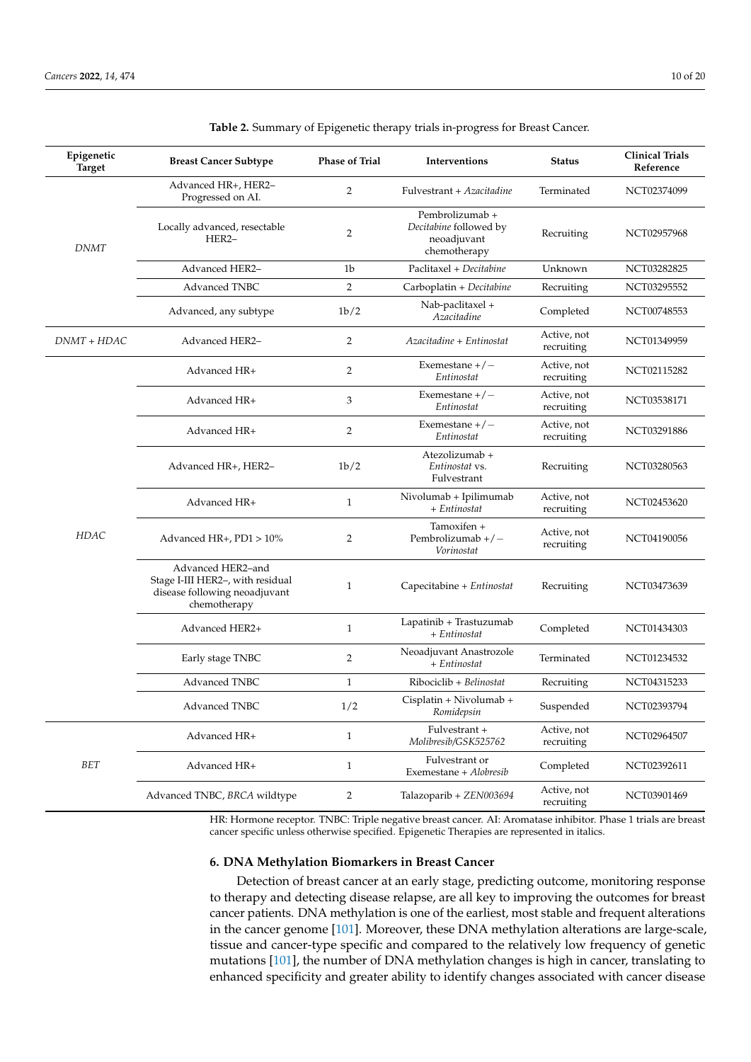| Epigenetic<br><b>Target</b> | <b>Breast Cancer Subtype</b>                                                                           | <b>Phase of Trial</b> | Interventions                                                            | <b>Status</b>             | <b>Clinical Trials</b><br>Reference |
|-----------------------------|--------------------------------------------------------------------------------------------------------|-----------------------|--------------------------------------------------------------------------|---------------------------|-------------------------------------|
|                             | Advanced HR+, HER2-<br>Progressed on AI.                                                               | 2                     | Fulvestrant + Azacitadine                                                | Terminated                | NCT02374099                         |
| <b>DNMT</b>                 | Locally advanced, resectable<br>HER2-                                                                  | $\overline{2}$        | Pembrolizumab +<br>Decitabine followed by<br>neoadjuvant<br>chemotherapy | Recruiting                | NCT02957968                         |
|                             | Advanced HER2-                                                                                         | 1b                    | Paclitaxel + Decitabine                                                  | Unknown                   | NCT03282825                         |
|                             | <b>Advanced TNBC</b>                                                                                   | $\overline{2}$        | Carboplatin + Decitabine                                                 | Recruiting                | NCT03295552                         |
|                             | Advanced, any subtype                                                                                  | 1b/2                  | Nab-paclitaxel +<br>Azacitadine                                          | Completed                 | NCT00748553                         |
| DNMT + HDAC                 | Advanced HER2-                                                                                         | $\overline{2}$        | Azacitadine + Entinostat                                                 | Active, not<br>recruiting | NCT01349959                         |
|                             | Advanced HR+                                                                                           | $\overline{2}$        | Exemestane $+/-$<br>Entinostat                                           | Active, not<br>recruiting | NCT02115282                         |
|                             | Advanced HR+                                                                                           | 3                     | Exemestane $+/-$<br>Entinostat                                           | Active, not<br>recruiting | NCT03538171                         |
|                             | Advanced HR+                                                                                           | $\overline{2}$        | Exemestane $+/-$<br>Entinostat                                           | Active, not<br>recruiting | NCT03291886                         |
|                             | Advanced HR+, HER2-                                                                                    | 1b/2                  | Atezolizumab +<br>Entinostat vs.<br>Fulvestrant                          | Recruiting                | NCT03280563                         |
|                             | Advanced HR+                                                                                           | $\mathbf{1}$          | Nivolumab + Ipilimumab<br>+ Entinostat                                   | Active, not<br>recruiting | NCT02453620                         |
| HDAC                        | Advanced HR+, PD1 > 10%                                                                                | $\overline{2}$        | Tamoxifen +<br>Pembrolizumab $+/-$<br>Vorinostat                         | Active, not<br>recruiting | NCT04190056                         |
|                             | Advanced HER2-and<br>Stage I-III HER2-, with residual<br>disease following neoadjuvant<br>chemotherapy | $\mathbf{1}$          | Capecitabine + Entinostat                                                | Recruiting                | NCT03473639                         |
|                             | Advanced HER2+                                                                                         | $\mathbf{1}$          | Lapatinib + Trastuzumab<br>+ Entinostat                                  | Completed                 | NCT01434303                         |
|                             | Early stage TNBC                                                                                       | $\overline{2}$        | Neoadjuvant Anastrozole<br>+ Entinostat                                  | Terminated                | NCT01234532                         |
|                             | <b>Advanced TNBC</b>                                                                                   | $\mathbf{1}$          | Ribociclib + Belinostat                                                  | Recruiting                | NCT04315233                         |
|                             | Advanced TNBC                                                                                          | 1/2                   | Cisplatin + Nivolumab +<br>Romidepsin                                    | Suspended                 | NCT02393794                         |
|                             | Advanced HR+                                                                                           | $\mathbf{1}$          | Fulvestrant +<br>Molibresib/GSK525762                                    | Active, not<br>recruiting | NCT02964507                         |
| $BET$                       | Advanced HR+                                                                                           | $\mathbf{1}$          | Fulvestrant or<br>Exemestane + Alobresib                                 | Completed                 | NCT02392611                         |
|                             | Advanced TNBC, BRCA wildtype                                                                           | $\overline{2}$        | Talazoparib + ZEN003694                                                  | Active, not<br>recruiting | NCT03901469                         |

<span id="page-9-0"></span>**Table 2.** Summary of Epigenetic therapy trials in-progress for Breast Cancer.

HR: Hormone receptor. TNBC: Triple negative breast cancer. AI: Aromatase inhibitor. Phase 1 trials are breast cancer specific unless otherwise specified. Epigenetic Therapies are represented in italics.

## **6. DNA Methylation Biomarkers in Breast Cancer**

Detection of breast cancer at an early stage, predicting outcome, monitoring response to therapy and detecting disease relapse, are all key to improving the outcomes for breast cancer patients. DNA methylation is one of the earliest, most stable and frequent alterations in the cancer genome [\[101\]](#page-17-14). Moreover, these DNA methylation alterations are large-scale, tissue and cancer-type specific and compared to the relatively low frequency of genetic mutations [\[101\]](#page-17-14), the number of DNA methylation changes is high in cancer, translating to enhanced specificity and greater ability to identify changes associated with cancer disease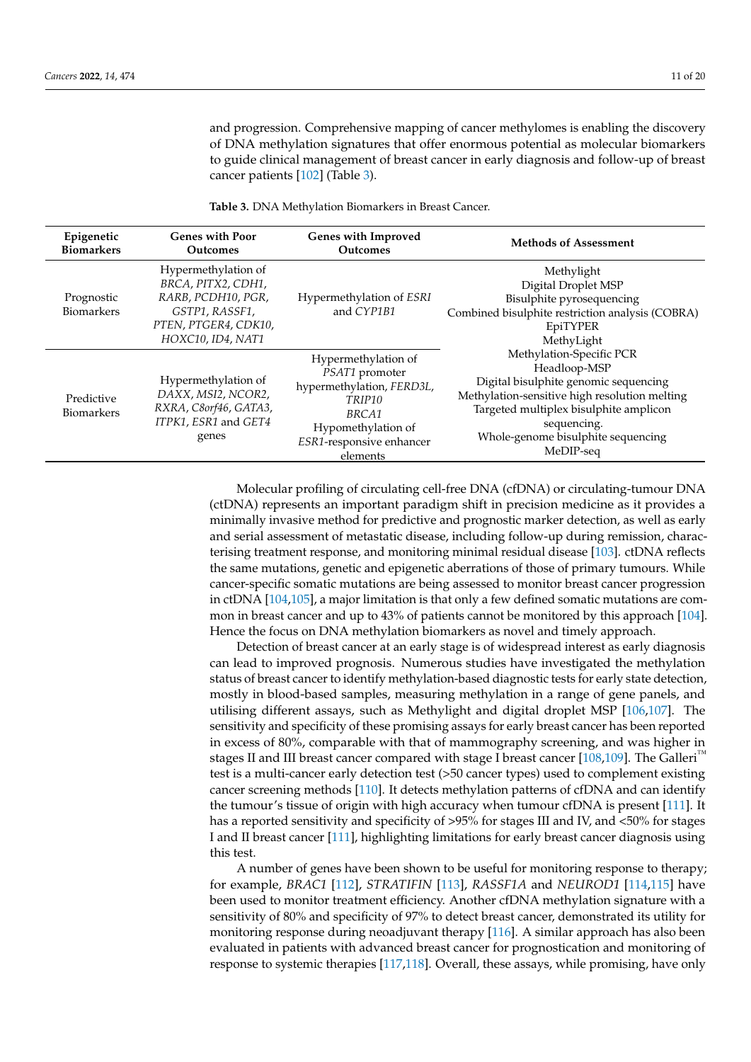and progression. Comprehensive mapping of cancer methylomes is enabling the discovery of DNA methylation signatures that offer enormous potential as molecular biomarkers to guide clinical management of breast cancer in early diagnosis and follow-up of breast cancer patients [\[102\]](#page-17-15) (Table [3\)](#page-10-0).

**Epigenetic Biomarkers Genes with Poor Outcomes Genes with Improved Outcomes Methods of Assessment** Prognostic Biomarkers Hypermethylation of *BRCA*, *PITX2*, *CDH1*, *RARB*, *PCDH10*, *PGR*, *GSTP1*, *RASSF1*, *PTEN*, *PTGER4*, *CDK10*, *HOXC10*, *ID4*, *NAT1* Hypermethylation of *ESRI* and *CYP1B1* Methylight Digital Droplet MSP Bisulphite pyrosequencing Combined bisulphite restriction analysis (COBRA) EpiTYPER MethyLight Methylation-Specific PCR Headloop-MSP Digital bisulphite genomic sequencing Methylation-sensitive high resolution melting Targeted multiplex bisulphite amplicon sequencing. Whole-genome bisulphite sequencing MeDIP-seq Predictive Biomarkers Hypermethylation of *DAXX*, *MSI2*, *NCOR2*, *RXRA*, *C8orf46*, *GATA3*, *ITPK1*, *ESR1* and *GET4* genes Hypermethylation of *PSAT1* promoter hypermethylation, *FERD3L*, *TRIP10 BRCA1* Hypomethylation of *ESR1*-responsive enhancer elements

<span id="page-10-0"></span>**Table 3.** DNA Methylation Biomarkers in Breast Cancer.

Molecular profiling of circulating cell-free DNA (cfDNA) or circulating-tumour DNA (ctDNA) represents an important paradigm shift in precision medicine as it provides a minimally invasive method for predictive and prognostic marker detection, as well as early and serial assessment of metastatic disease, including follow-up during remission, characterising treatment response, and monitoring minimal residual disease [\[103\]](#page-17-16). ctDNA reflects the same mutations, genetic and epigenetic aberrations of those of primary tumours. While cancer-specific somatic mutations are being assessed to monitor breast cancer progression in ctDNA [\[104](#page-17-17)[,105\]](#page-17-18), a major limitation is that only a few defined somatic mutations are common in breast cancer and up to 43% of patients cannot be monitored by this approach [\[104\]](#page-17-17). Hence the focus on DNA methylation biomarkers as novel and timely approach.

Detection of breast cancer at an early stage is of widespread interest as early diagnosis can lead to improved prognosis. Numerous studies have investigated the methylation status of breast cancer to identify methylation-based diagnostic tests for early state detection, mostly in blood-based samples, measuring methylation in a range of gene panels, and utilising different assays, such as Methylight and digital droplet MSP [\[106,](#page-17-19)[107\]](#page-17-20). The sensitivity and specificity of these promising assays for early breast cancer has been reported in excess of 80%, comparable with that of mammography screening, and was higher in stages II and III breast cancer compared with stage I breast cancer [\[108,](#page-18-0)[109\]](#page-18-1). The Galleri<sup>™</sup> test is a multi-cancer early detection test (>50 cancer types) used to complement existing cancer screening methods [\[110\]](#page-18-2). It detects methylation patterns of cfDNA and can identify the tumour's tissue of origin with high accuracy when tumour cfDNA is present [\[111\]](#page-18-3). It has a reported sensitivity and specificity of >95% for stages III and IV, and <50% for stages I and II breast cancer [\[111\]](#page-18-3), highlighting limitations for early breast cancer diagnosis using this test.

A number of genes have been shown to be useful for monitoring response to therapy; for example, *BRAC1* [\[112\]](#page-18-4), *STRATIFIN* [\[113\]](#page-18-5), *RASSF1A* and *NEUROD1* [\[114](#page-18-6)[,115\]](#page-18-7) have been used to monitor treatment efficiency. Another cfDNA methylation signature with a sensitivity of 80% and specificity of 97% to detect breast cancer, demonstrated its utility for monitoring response during neoadjuvant therapy [\[116\]](#page-18-8). A similar approach has also been evaluated in patients with advanced breast cancer for prognostication and monitoring of response to systemic therapies [\[117,](#page-18-9)[118\]](#page-18-10). Overall, these assays, while promising, have only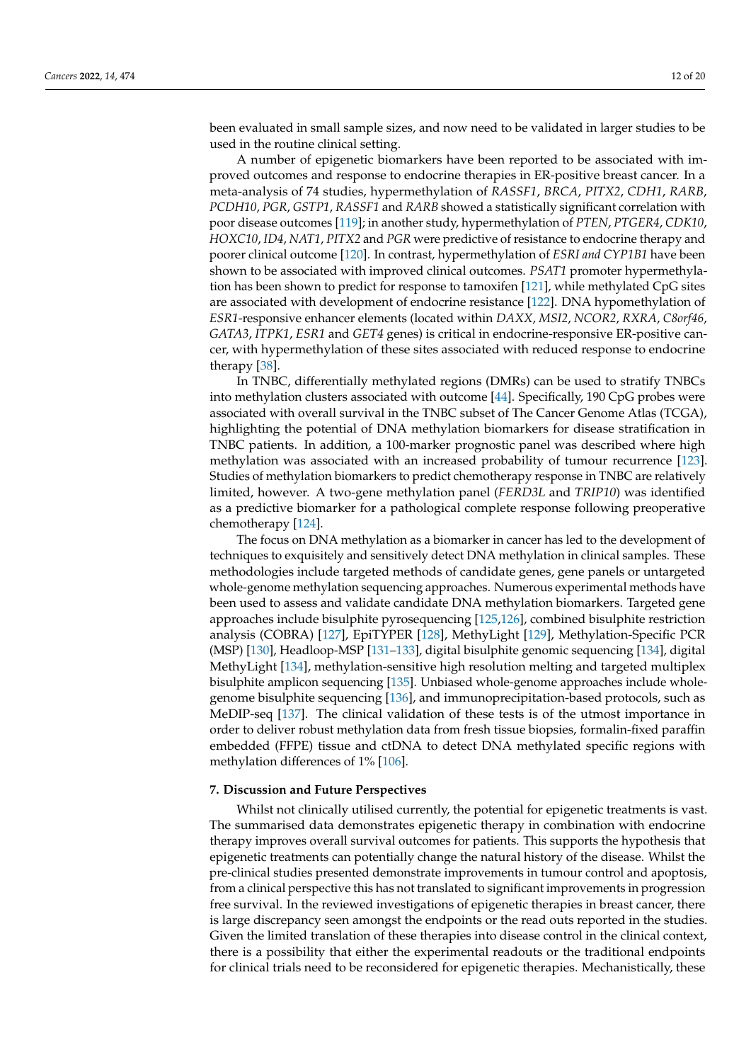been evaluated in small sample sizes, and now need to be validated in larger studies to be used in the routine clinical setting.

A number of epigenetic biomarkers have been reported to be associated with improved outcomes and response to endocrine therapies in ER-positive breast cancer. In a meta-analysis of 74 studies, hypermethylation of *RASSF1*, *BRCA*, *PITX2*, *CDH1*, *RARB*, *PCDH10*, *PGR*, *GSTP1*, *RASSF1* and *RARB* showed a statistically significant correlation with poor disease outcomes [\[119\]](#page-18-11); in another study, hypermethylation of *PTEN*, *PTGER4*, *CDK10*, *HOXC10*, *ID4*, *NAT1*, *PITX2* and *PGR* were predictive of resistance to endocrine therapy and poorer clinical outcome [\[120\]](#page-18-12). In contrast, hypermethylation of *ESRI and CYP1B1* have been shown to be associated with improved clinical outcomes. *PSAT1* promoter hypermethylation has been shown to predict for response to tamoxifen [\[121\]](#page-18-13), while methylated CpG sites are associated with development of endocrine resistance [\[122\]](#page-18-14). DNA hypomethylation of *ESR1*-responsive enhancer elements (located within *DAXX*, *MSI2*, *NCOR2*, *RXRA*, *C8orf46*, *GATA3*, *ITPK1*, *ESR1* and *GET4* genes) is critical in endocrine-responsive ER-positive cancer, with hypermethylation of these sites associated with reduced response to endocrine therapy [\[38\]](#page-15-2).

In TNBC, differentially methylated regions (DMRs) can be used to stratify TNBCs into methylation clusters associated with outcome [\[44\]](#page-15-8). Specifically, 190 CpG probes were associated with overall survival in the TNBC subset of The Cancer Genome Atlas (TCGA), highlighting the potential of DNA methylation biomarkers for disease stratification in TNBC patients. In addition, a 100-marker prognostic panel was described where high methylation was associated with an increased probability of tumour recurrence [\[123\]](#page-18-15). Studies of methylation biomarkers to predict chemotherapy response in TNBC are relatively limited, however. A two-gene methylation panel (*FERD3L* and *TRIP10*) was identified as a predictive biomarker for a pathological complete response following preoperative chemotherapy [\[124\]](#page-18-16).

The focus on DNA methylation as a biomarker in cancer has led to the development of techniques to exquisitely and sensitively detect DNA methylation in clinical samples. These methodologies include targeted methods of candidate genes, gene panels or untargeted whole-genome methylation sequencing approaches. Numerous experimental methods have been used to assess and validate candidate DNA methylation biomarkers. Targeted gene approaches include bisulphite pyrosequencing [\[125,](#page-18-17)[126\]](#page-18-18), combined bisulphite restriction analysis (COBRA) [\[127\]](#page-18-19), EpiTYPER [\[128\]](#page-18-20), MethyLight [\[129\]](#page-18-21), Methylation-Specific PCR (MSP) [\[130\]](#page-18-22), Headloop-MSP [\[131](#page-18-23)[–133\]](#page-19-0), digital bisulphite genomic sequencing [\[134\]](#page-19-1), digital MethyLight [\[134\]](#page-19-1), methylation-sensitive high resolution melting and targeted multiplex bisulphite amplicon sequencing [\[135\]](#page-19-2). Unbiased whole-genome approaches include wholegenome bisulphite sequencing [\[136\]](#page-19-3), and immunoprecipitation-based protocols, such as MeDIP-seq [\[137\]](#page-19-4). The clinical validation of these tests is of the utmost importance in order to deliver robust methylation data from fresh tissue biopsies, formalin-fixed paraffin embedded (FFPE) tissue and ctDNA to detect DNA methylated specific regions with methylation differences of 1% [\[106\]](#page-17-19).

### **7. Discussion and Future Perspectives**

Whilst not clinically utilised currently, the potential for epigenetic treatments is vast. The summarised data demonstrates epigenetic therapy in combination with endocrine therapy improves overall survival outcomes for patients. This supports the hypothesis that epigenetic treatments can potentially change the natural history of the disease. Whilst the pre-clinical studies presented demonstrate improvements in tumour control and apoptosis, from a clinical perspective this has not translated to significant improvements in progression free survival. In the reviewed investigations of epigenetic therapies in breast cancer, there is large discrepancy seen amongst the endpoints or the read outs reported in the studies. Given the limited translation of these therapies into disease control in the clinical context, there is a possibility that either the experimental readouts or the traditional endpoints for clinical trials need to be reconsidered for epigenetic therapies. Mechanistically, these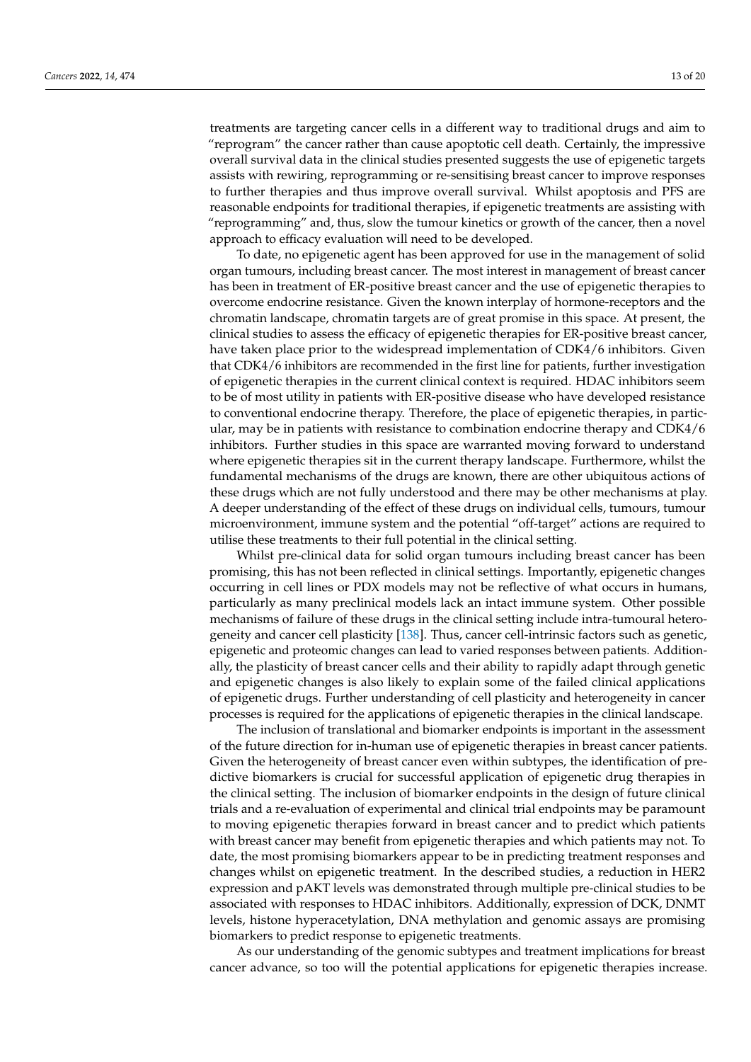treatments are targeting cancer cells in a different way to traditional drugs and aim to "reprogram" the cancer rather than cause apoptotic cell death. Certainly, the impressive overall survival data in the clinical studies presented suggests the use of epigenetic targets assists with rewiring, reprogramming or re-sensitising breast cancer to improve responses to further therapies and thus improve overall survival. Whilst apoptosis and PFS are reasonable endpoints for traditional therapies, if epigenetic treatments are assisting with "reprogramming" and, thus, slow the tumour kinetics or growth of the cancer, then a novel approach to efficacy evaluation will need to be developed.

To date, no epigenetic agent has been approved for use in the management of solid organ tumours, including breast cancer. The most interest in management of breast cancer has been in treatment of ER-positive breast cancer and the use of epigenetic therapies to overcome endocrine resistance. Given the known interplay of hormone-receptors and the chromatin landscape, chromatin targets are of great promise in this space. At present, the clinical studies to assess the efficacy of epigenetic therapies for ER-positive breast cancer, have taken place prior to the widespread implementation of CDK4/6 inhibitors. Given that CDK4/6 inhibitors are recommended in the first line for patients, further investigation of epigenetic therapies in the current clinical context is required. HDAC inhibitors seem to be of most utility in patients with ER-positive disease who have developed resistance to conventional endocrine therapy. Therefore, the place of epigenetic therapies, in particular, may be in patients with resistance to combination endocrine therapy and CDK4/6 inhibitors. Further studies in this space are warranted moving forward to understand where epigenetic therapies sit in the current therapy landscape. Furthermore, whilst the fundamental mechanisms of the drugs are known, there are other ubiquitous actions of these drugs which are not fully understood and there may be other mechanisms at play. A deeper understanding of the effect of these drugs on individual cells, tumours, tumour microenvironment, immune system and the potential "off-target" actions are required to utilise these treatments to their full potential in the clinical setting.

Whilst pre-clinical data for solid organ tumours including breast cancer has been promising, this has not been reflected in clinical settings. Importantly, epigenetic changes occurring in cell lines or PDX models may not be reflective of what occurs in humans, particularly as many preclinical models lack an intact immune system. Other possible mechanisms of failure of these drugs in the clinical setting include intra-tumoural heterogeneity and cancer cell plasticity [\[138\]](#page-19-5). Thus, cancer cell-intrinsic factors such as genetic, epigenetic and proteomic changes can lead to varied responses between patients. Additionally, the plasticity of breast cancer cells and their ability to rapidly adapt through genetic and epigenetic changes is also likely to explain some of the failed clinical applications of epigenetic drugs. Further understanding of cell plasticity and heterogeneity in cancer processes is required for the applications of epigenetic therapies in the clinical landscape.

The inclusion of translational and biomarker endpoints is important in the assessment of the future direction for in-human use of epigenetic therapies in breast cancer patients. Given the heterogeneity of breast cancer even within subtypes, the identification of predictive biomarkers is crucial for successful application of epigenetic drug therapies in the clinical setting. The inclusion of biomarker endpoints in the design of future clinical trials and a re-evaluation of experimental and clinical trial endpoints may be paramount to moving epigenetic therapies forward in breast cancer and to predict which patients with breast cancer may benefit from epigenetic therapies and which patients may not. To date, the most promising biomarkers appear to be in predicting treatment responses and changes whilst on epigenetic treatment. In the described studies, a reduction in HER2 expression and pAKT levels was demonstrated through multiple pre-clinical studies to be associated with responses to HDAC inhibitors. Additionally, expression of DCK, DNMT levels, histone hyperacetylation, DNA methylation and genomic assays are promising biomarkers to predict response to epigenetic treatments.

As our understanding of the genomic subtypes and treatment implications for breast cancer advance, so too will the potential applications for epigenetic therapies increase.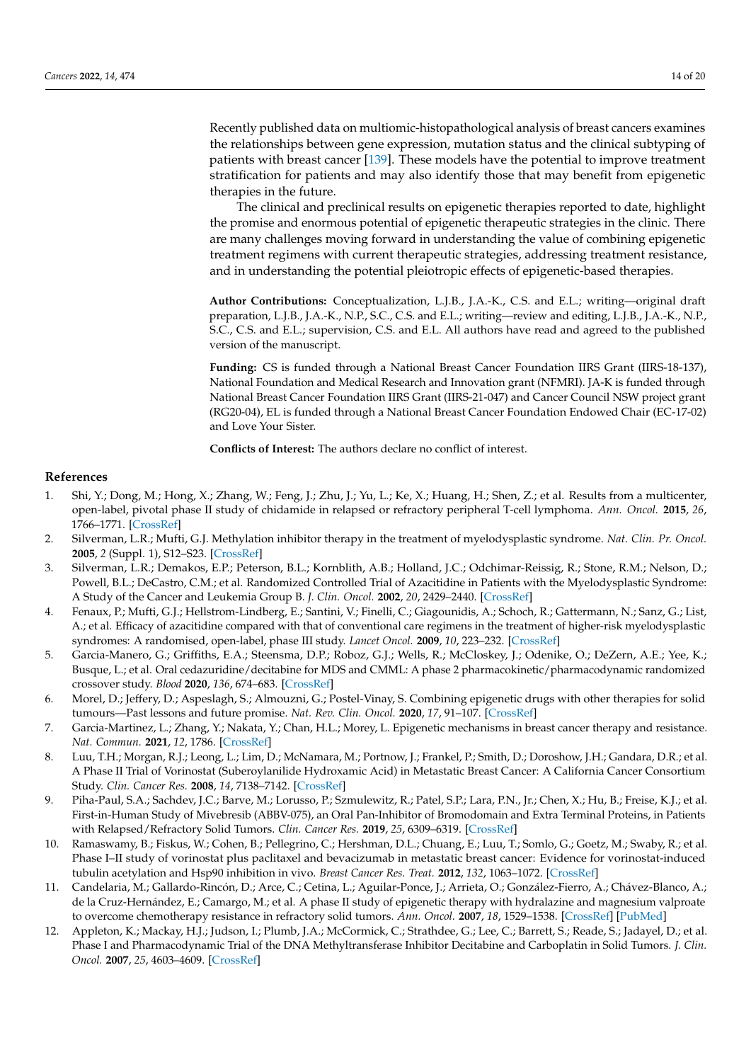Recently published data on multiomic-histopathological analysis of breast cancers examines the relationships between gene expression, mutation status and the clinical subtyping of patients with breast cancer [\[139\]](#page-19-6). These models have the potential to improve treatment stratification for patients and may also identify those that may benefit from epigenetic therapies in the future.

The clinical and preclinical results on epigenetic therapies reported to date, highlight the promise and enormous potential of epigenetic therapeutic strategies in the clinic. There are many challenges moving forward in understanding the value of combining epigenetic treatment regimens with current therapeutic strategies, addressing treatment resistance, and in understanding the potential pleiotropic effects of epigenetic-based therapies.

**Author Contributions:** Conceptualization, L.J.B., J.A.-K., C.S. and E.L.; writing—original draft preparation, L.J.B., J.A.-K., N.P., S.C., C.S. and E.L.; writing—review and editing, L.J.B., J.A.-K., N.P., S.C., C.S. and E.L.; supervision, C.S. and E.L. All authors have read and agreed to the published version of the manuscript.

**Funding:** CS is funded through a National Breast Cancer Foundation IIRS Grant (IIRS-18-137), National Foundation and Medical Research and Innovation grant (NFMRI). JA-K is funded through National Breast Cancer Foundation IIRS Grant (IIRS-21-047) and Cancer Council NSW project grant (RG20-04), EL is funded through a National Breast Cancer Foundation Endowed Chair (EC-17-02) and Love Your Sister.

**Conflicts of Interest:** The authors declare no conflict of interest.

## **References**

- <span id="page-13-0"></span>1. Shi, Y.; Dong, M.; Hong, X.; Zhang, W.; Feng, J.; Zhu, J.; Yu, L.; Ke, X.; Huang, H.; Shen, Z.; et al. Results from a multicenter, open-label, pivotal phase II study of chidamide in relapsed or refractory peripheral T-cell lymphoma. *Ann. Oncol.* **2015**, *26*, 1766–1771. [\[CrossRef\]](http://doi.org/10.1093/annonc/mdv237)
- 2. Silverman, L.R.; Mufti, G.J. Methylation inhibitor therapy in the treatment of myelodysplastic syndrome. *Nat. Clin. Pr. Oncol.* **2005**, *2* (Suppl. 1), S12–S23. [\[CrossRef\]](http://doi.org/10.1038/ncponc0347)
- <span id="page-13-9"></span>3. Silverman, L.R.; Demakos, E.P.; Peterson, B.L.; Kornblith, A.B.; Holland, J.C.; Odchimar-Reissig, R.; Stone, R.M.; Nelson, D.; Powell, B.L.; DeCastro, C.M.; et al. Randomized Controlled Trial of Azacitidine in Patients with the Myelodysplastic Syndrome: A Study of the Cancer and Leukemia Group B. *J. Clin. Oncol.* **2002**, *20*, 2429–2440. [\[CrossRef\]](http://doi.org/10.1200/JCO.2002.04.117)
- 4. Fenaux, P.; Mufti, G.J.; Hellstrom-Lindberg, E.; Santini, V.; Finelli, C.; Giagounidis, A.; Schoch, R.; Gattermann, N.; Sanz, G.; List, A.; et al. Efficacy of azacitidine compared with that of conventional care regimens in the treatment of higher-risk myelodysplastic syndromes: A randomised, open-label, phase III study. *Lancet Oncol.* **2009**, *10*, 223–232. [\[CrossRef\]](http://doi.org/10.1016/S1470-2045(09)70003-8)
- <span id="page-13-1"></span>5. Garcia-Manero, G.; Griffiths, E.A.; Steensma, D.P.; Roboz, G.J.; Wells, R.; McCloskey, J.; Odenike, O.; DeZern, A.E.; Yee, K.; Busque, L.; et al. Oral cedazuridine/decitabine for MDS and CMML: A phase 2 pharmacokinetic/pharmacodynamic randomized crossover study. *Blood* **2020**, *136*, 674–683. [\[CrossRef\]](http://doi.org/10.1182/blood.2019004143)
- <span id="page-13-2"></span>6. Morel, D.; Jeffery, D.; Aspeslagh, S.; Almouzni, G.; Postel-Vinay, S. Combining epigenetic drugs with other therapies for solid tumours—Past lessons and future promise. *Nat. Rev. Clin. Oncol.* **2020**, *17*, 91–107. [\[CrossRef\]](http://doi.org/10.1038/s41571-019-0267-4)
- <span id="page-13-3"></span>7. Garcia-Martinez, L.; Zhang, Y.; Nakata, Y.; Chan, H.L.; Morey, L. Epigenetic mechanisms in breast cancer therapy and resistance. *Nat. Commun.* **2021**, *12*, 1786. [\[CrossRef\]](http://doi.org/10.1038/s41467-021-22024-3)
- <span id="page-13-4"></span>8. Luu, T.H.; Morgan, R.J.; Leong, L.; Lim, D.; McNamara, M.; Portnow, J.; Frankel, P.; Smith, D.; Doroshow, J.H.; Gandara, D.R.; et al. A Phase II Trial of Vorinostat (Suberoylanilide Hydroxamic Acid) in Metastatic Breast Cancer: A California Cancer Consortium Study. *Clin. Cancer Res.* **2008**, *14*, 7138–7142. [\[CrossRef\]](http://doi.org/10.1158/1078-0432.CCR-08-0122)
- <span id="page-13-5"></span>9. Piha-Paul, S.A.; Sachdev, J.C.; Barve, M.; Lorusso, P.; Szmulewitz, R.; Patel, S.P.; Lara, P.N., Jr.; Chen, X.; Hu, B.; Freise, K.J.; et al. First-in-Human Study of Mivebresib (ABBV-075), an Oral Pan-Inhibitor of Bromodomain and Extra Terminal Proteins, in Patients with Relapsed/Refractory Solid Tumors. *Clin. Cancer Res.* **2019**, *25*, 6309–6319. [\[CrossRef\]](http://doi.org/10.1158/1078-0432.CCR-19-0578)
- <span id="page-13-6"></span>10. Ramaswamy, B.; Fiskus, W.; Cohen, B.; Pellegrino, C.; Hershman, D.L.; Chuang, E.; Luu, T.; Somlo, G.; Goetz, M.; Swaby, R.; et al. Phase I–II study of vorinostat plus paclitaxel and bevacizumab in metastatic breast cancer: Evidence for vorinostat-induced tubulin acetylation and Hsp90 inhibition in vivo. *Breast Cancer Res. Treat.* **2012**, *132*, 1063–1072. [\[CrossRef\]](http://doi.org/10.1007/s10549-011-1928-x)
- <span id="page-13-7"></span>11. Candelaria, M.; Gallardo-Rincón, D.; Arce, C.; Cetina, L.; Aguilar-Ponce, J.; Arrieta, O.; González-Fierro, A.; Chávez-Blanco, A.; de la Cruz-Hernández, E.; Camargo, M.; et al. A phase II study of epigenetic therapy with hydralazine and magnesium valproate to overcome chemotherapy resistance in refractory solid tumors. *Ann. Oncol.* **2007**, *18*, 1529–1538. [\[CrossRef\]](http://doi.org/10.1093/annonc/mdm204) [\[PubMed\]](http://www.ncbi.nlm.nih.gov/pubmed/17761710)
- <span id="page-13-8"></span>12. Appleton, K.; Mackay, H.J.; Judson, I.; Plumb, J.A.; McCormick, C.; Strathdee, G.; Lee, C.; Barrett, S.; Reade, S.; Jadayel, D.; et al. Phase I and Pharmacodynamic Trial of the DNA Methyltransferase Inhibitor Decitabine and Carboplatin in Solid Tumors. *J. Clin. Oncol.* **2007**, *25*, 4603–4609. [\[CrossRef\]](http://doi.org/10.1200/JCO.2007.10.8688)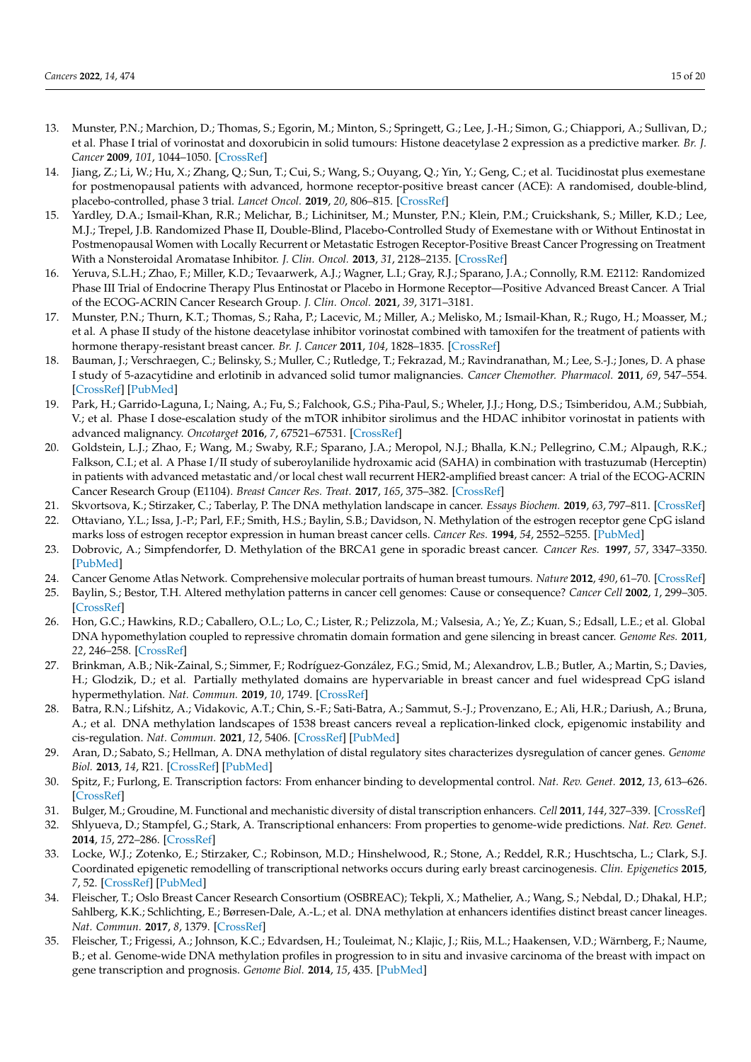- <span id="page-14-0"></span>13. Munster, P.N.; Marchion, D.; Thomas, S.; Egorin, M.; Minton, S.; Springett, G.; Lee, J.-H.; Simon, G.; Chiappori, A.; Sullivan, D.; et al. Phase I trial of vorinostat and doxorubicin in solid tumours: Histone deacetylase 2 expression as a predictive marker. *Br. J. Cancer* **2009**, *101*, 1044–1050. [\[CrossRef\]](http://doi.org/10.1038/sj.bjc.6605293)
- <span id="page-14-1"></span>14. Jiang, Z.; Li, W.; Hu, X.; Zhang, Q.; Sun, T.; Cui, S.; Wang, S.; Ouyang, Q.; Yin, Y.; Geng, C.; et al. Tucidinostat plus exemestane for postmenopausal patients with advanced, hormone receptor-positive breast cancer (ACE): A randomised, double-blind, placebo-controlled, phase 3 trial. *Lancet Oncol.* **2019**, *20*, 806–815. [\[CrossRef\]](http://doi.org/10.1016/S1470-2045(19)30164-0)
- <span id="page-14-2"></span>15. Yardley, D.A.; Ismail-Khan, R.R.; Melichar, B.; Lichinitser, M.; Munster, P.N.; Klein, P.M.; Cruickshank, S.; Miller, K.D.; Lee, M.J.; Trepel, J.B. Randomized Phase II, Double-Blind, Placebo-Controlled Study of Exemestane with or Without Entinostat in Postmenopausal Women with Locally Recurrent or Metastatic Estrogen Receptor-Positive Breast Cancer Progressing on Treatment With a Nonsteroidal Aromatase Inhibitor. *J. Clin. Oncol.* **2013**, *31*, 2128–2135. [\[CrossRef\]](http://doi.org/10.1200/jco.2012.43.7251)
- <span id="page-14-3"></span>16. Yeruva, S.L.H.; Zhao, F.; Miller, K.D.; Tevaarwerk, A.J.; Wagner, L.I.; Gray, R.J.; Sparano, J.A.; Connolly, R.M. E2112: Randomized Phase III Trial of Endocrine Therapy Plus Entinostat or Placebo in Hormone Receptor—Positive Advanced Breast Cancer. A Trial of the ECOG-ACRIN Cancer Research Group. *J. Clin. Oncol.* **2021**, *39*, 3171–3181.
- <span id="page-14-4"></span>17. Munster, P.N.; Thurn, K.T.; Thomas, S.; Raha, P.; Lacevic, M.; Miller, A.; Melisko, M.; Ismail-Khan, R.; Rugo, H.; Moasser, M.; et al. A phase II study of the histone deacetylase inhibitor vorinostat combined with tamoxifen for the treatment of patients with hormone therapy-resistant breast cancer. *Br. J. Cancer* **2011**, *104*, 1828–1835. [\[CrossRef\]](http://doi.org/10.1038/bjc.2011.156)
- <span id="page-14-5"></span>18. Bauman, J.; Verschraegen, C.; Belinsky, S.; Muller, C.; Rutledge, T.; Fekrazad, M.; Ravindranathan, M.; Lee, S.-J.; Jones, D. A phase I study of 5-azacytidine and erlotinib in advanced solid tumor malignancies. *Cancer Chemother. Pharmacol.* **2011**, *69*, 547–554. [\[CrossRef\]](http://doi.org/10.1007/s00280-011-1729-2) [\[PubMed\]](http://www.ncbi.nlm.nih.gov/pubmed/21901396)
- <span id="page-14-6"></span>19. Park, H.; Garrido-Laguna, I.; Naing, A.; Fu, S.; Falchook, G.S.; Piha-Paul, S.; Wheler, J.J.; Hong, D.S.; Tsimberidou, A.M.; Subbiah, V.; et al. Phase I dose-escalation study of the mTOR inhibitor sirolimus and the HDAC inhibitor vorinostat in patients with advanced malignancy. *Oncotarget* **2016**, *7*, 67521–67531. [\[CrossRef\]](http://doi.org/10.18632/oncotarget.11750)
- <span id="page-14-7"></span>20. Goldstein, L.J.; Zhao, F.; Wang, M.; Swaby, R.F.; Sparano, J.A.; Meropol, N.J.; Bhalla, K.N.; Pellegrino, C.M.; Alpaugh, R.K.; Falkson, C.I.; et al. A Phase I/II study of suberoylanilide hydroxamic acid (SAHA) in combination with trastuzumab (Herceptin) in patients with advanced metastatic and/or local chest wall recurrent HER2-amplified breast cancer: A trial of the ECOG-ACRIN Cancer Research Group (E1104). *Breast Cancer Res. Treat.* **2017**, *165*, 375–382. [\[CrossRef\]](http://doi.org/10.1007/s10549-017-4310-9)
- <span id="page-14-9"></span><span id="page-14-8"></span>21. Skvortsova, K.; Stirzaker, C.; Taberlay, P. The DNA methylation landscape in cancer. *Essays Biochem.* **2019**, *63*, 797–811. [\[CrossRef\]](http://doi.org/10.1042/EBC20190037) 22. Ottaviano, Y.L.; Issa, J.-P.; Parl, F.F.; Smith, H.S.; Baylin, S.B.; Davidson, N. Methylation of the estrogen receptor gene CpG island
- marks loss of estrogen receptor expression in human breast cancer cells. *Cancer Res.* **1994**, *54*, 2552–5255. [\[PubMed\]](http://www.ncbi.nlm.nih.gov/pubmed/8168078)
- <span id="page-14-10"></span>23. Dobrovic, A.; Simpfendorfer, D. Methylation of the BRCA1 gene in sporadic breast cancer. *Cancer Res.* **1997**, *57*, 3347–3350. [\[PubMed\]](http://www.ncbi.nlm.nih.gov/pubmed/9269993)
- <span id="page-14-11"></span>24. Cancer Genome Atlas Network. Comprehensive molecular portraits of human breast tumours. *Nature* **2012**, *490*, 61–70. [\[CrossRef\]](http://doi.org/10.1038/nature11412)
- <span id="page-14-12"></span>25. Baylin, S.; Bestor, T.H. Altered methylation patterns in cancer cell genomes: Cause or consequence? *Cancer Cell* **2002**, *1*, 299–305. [\[CrossRef\]](http://doi.org/10.1016/S1535-6108(02)00061-2)
- <span id="page-14-13"></span>26. Hon, G.C.; Hawkins, R.D.; Caballero, O.L.; Lo, C.; Lister, R.; Pelizzola, M.; Valsesia, A.; Ye, Z.; Kuan, S.; Edsall, L.E.; et al. Global DNA hypomethylation coupled to repressive chromatin domain formation and gene silencing in breast cancer. *Genome Res.* **2011**, *22*, 246–258. [\[CrossRef\]](http://doi.org/10.1101/gr.125872.111)
- <span id="page-14-14"></span>27. Brinkman, A.B.; Nik-Zainal, S.; Simmer, F.; Rodríguez-González, F.G.; Smid, M.; Alexandrov, L.B.; Butler, A.; Martin, S.; Davies, H.; Glodzik, D.; et al. Partially methylated domains are hypervariable in breast cancer and fuel widespread CpG island hypermethylation. *Nat. Commun.* **2019**, *10*, 1749. [\[CrossRef\]](http://doi.org/10.1038/s41467-019-09828-0)
- <span id="page-14-15"></span>28. Batra, R.N.; Lifshitz, A.; Vidakovic, A.T.; Chin, S.-F.; Sati-Batra, A.; Sammut, S.-J.; Provenzano, E.; Ali, H.R.; Dariush, A.; Bruna, A.; et al. DNA methylation landscapes of 1538 breast cancers reveal a replication-linked clock, epigenomic instability and cis-regulation. *Nat. Commun.* **2021**, *12*, 5406. [\[CrossRef\]](http://doi.org/10.1038/s41467-021-25661-w) [\[PubMed\]](http://www.ncbi.nlm.nih.gov/pubmed/34518533)
- <span id="page-14-16"></span>29. Aran, D.; Sabato, S.; Hellman, A. DNA methylation of distal regulatory sites characterizes dysregulation of cancer genes. *Genome Biol.* **2013**, *14*, R21. [\[CrossRef\]](http://doi.org/10.1186/gb-2013-14-3-r21) [\[PubMed\]](http://www.ncbi.nlm.nih.gov/pubmed/23497655)
- 30. Spitz, F.; Furlong, E. Transcription factors: From enhancer binding to developmental control. *Nat. Rev. Genet.* **2012**, *13*, 613–626. [\[CrossRef\]](http://doi.org/10.1038/nrg3207)
- 31. Bulger, M.; Groudine, M. Functional and mechanistic diversity of distal transcription enhancers. *Cell* **2011**, *144*, 327–339. [\[CrossRef\]](http://doi.org/10.1016/j.cell.2011.01.024)
- <span id="page-14-17"></span>32. Shlyueva, D.; Stampfel, G.; Stark, A. Transcriptional enhancers: From properties to genome-wide predictions. *Nat. Rev. Genet.* **2014**, *15*, 272–286. [\[CrossRef\]](http://doi.org/10.1038/nrg3682)
- <span id="page-14-18"></span>33. Locke, W.J.; Zotenko, E.; Stirzaker, C.; Robinson, M.D.; Hinshelwood, R.; Stone, A.; Reddel, R.R.; Huschtscha, L.; Clark, S.J. Coordinated epigenetic remodelling of transcriptional networks occurs during early breast carcinogenesis. *Clin. Epigenetics* **2015**, *7*, 52. [\[CrossRef\]](http://doi.org/10.1186/s13148-015-0086-0) [\[PubMed\]](http://www.ncbi.nlm.nih.gov/pubmed/25960784)
- <span id="page-14-19"></span>34. Fleischer, T.; Oslo Breast Cancer Research Consortium (OSBREAC); Tekpli, X.; Mathelier, A.; Wang, S.; Nebdal, D.; Dhakal, H.P.; Sahlberg, K.K.; Schlichting, E.; Børresen-Dale, A.-L.; et al. DNA methylation at enhancers identifies distinct breast cancer lineages. *Nat. Commun.* **2017**, *8*, 1379. [\[CrossRef\]](http://doi.org/10.1038/s41467-017-00510-x)
- <span id="page-14-20"></span>35. Fleischer, T.; Frigessi, A.; Johnson, K.C.; Edvardsen, H.; Touleimat, N.; Klajic, J.; Riis, M.L.; Haakensen, V.D.; Wärnberg, F.; Naume, B.; et al. Genome-wide DNA methylation profiles in progression to in situ and invasive carcinoma of the breast with impact on gene transcription and prognosis. *Genome Biol.* **2014**, *15*, 435. [\[PubMed\]](http://www.ncbi.nlm.nih.gov/pubmed/25146004)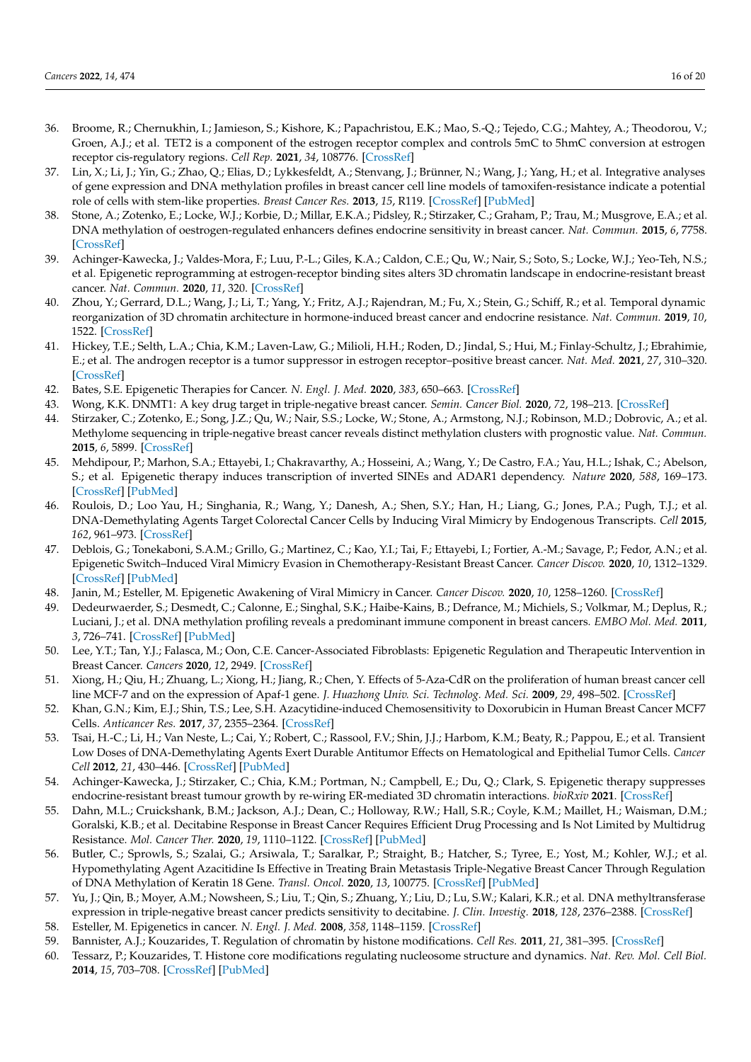- <span id="page-15-0"></span>36. Broome, R.; Chernukhin, I.; Jamieson, S.; Kishore, K.; Papachristou, E.K.; Mao, S.-Q.; Tejedo, C.G.; Mahtey, A.; Theodorou, V.; Groen, A.J.; et al. TET2 is a component of the estrogen receptor complex and controls 5mC to 5hmC conversion at estrogen receptor cis-regulatory regions. *Cell Rep.* **2021**, *34*, 108776. [\[CrossRef\]](http://doi.org/10.1016/j.celrep.2021.108776)
- <span id="page-15-1"></span>37. Lin, X.; Li, J.; Yin, G.; Zhao, Q.; Elias, D.; Lykkesfeldt, A.; Stenvang, J.; Brünner, N.; Wang, J.; Yang, H.; et al. Integrative analyses of gene expression and DNA methylation profiles in breast cancer cell line models of tamoxifen-resistance indicate a potential role of cells with stem-like properties. *Breast Cancer Res.* **2013**, *15*, R119. [\[CrossRef\]](http://doi.org/10.1186/bcr3588) [\[PubMed\]](http://www.ncbi.nlm.nih.gov/pubmed/24355041)
- <span id="page-15-2"></span>38. Stone, A.; Zotenko, E.; Locke, W.J.; Korbie, D.; Millar, E.K.A.; Pidsley, R.; Stirzaker, C.; Graham, P.; Trau, M.; Musgrove, E.A.; et al. DNA methylation of oestrogen-regulated enhancers defines endocrine sensitivity in breast cancer. *Nat. Commun.* **2015**, *6*, 7758. [\[CrossRef\]](http://doi.org/10.1038/ncomms8758)
- <span id="page-15-3"></span>39. Achinger-Kawecka, J.; Valdes-Mora, F.; Luu, P.-L.; Giles, K.A.; Caldon, C.E.; Qu, W.; Nair, S.; Soto, S.; Locke, W.J.; Yeo-Teh, N.S.; et al. Epigenetic reprogramming at estrogen-receptor binding sites alters 3D chromatin landscape in endocrine-resistant breast cancer. *Nat. Commun.* **2020**, *11*, 320. [\[CrossRef\]](http://doi.org/10.1038/s41467-019-14098-x)
- <span id="page-15-4"></span>40. Zhou, Y.; Gerrard, D.L.; Wang, J.; Li, T.; Yang, Y.; Fritz, A.J.; Rajendran, M.; Fu, X.; Stein, G.; Schiff, R.; et al. Temporal dynamic reorganization of 3D chromatin architecture in hormone-induced breast cancer and endocrine resistance. *Nat. Commun.* **2019**, *10*, 1522. [\[CrossRef\]](http://doi.org/10.1038/s41467-019-09320-9)
- <span id="page-15-5"></span>41. Hickey, T.E.; Selth, L.A.; Chia, K.M.; Laven-Law, G.; Milioli, H.H.; Roden, D.; Jindal, S.; Hui, M.; Finlay-Schultz, J.; Ebrahimie, E.; et al. The androgen receptor is a tumor suppressor in estrogen receptor–positive breast cancer. *Nat. Med.* **2021**, *27*, 310–320. [\[CrossRef\]](http://doi.org/10.1038/s41591-020-01168-7)
- <span id="page-15-6"></span>42. Bates, S.E. Epigenetic Therapies for Cancer. *N. Engl. J. Med.* **2020**, *383*, 650–663. [\[CrossRef\]](http://doi.org/10.1056/NEJMra1805035)
- <span id="page-15-7"></span>43. Wong, K.K. DNMT1: A key drug target in triple-negative breast cancer. *Semin. Cancer Biol.* **2020**, *72*, 198–213. [\[CrossRef\]](http://doi.org/10.1016/j.semcancer.2020.05.010)
- <span id="page-15-8"></span>44. Stirzaker, C.; Zotenko, E.; Song, J.Z.; Qu, W.; Nair, S.S.; Locke, W.; Stone, A.; Armstong, N.J.; Robinson, M.D.; Dobrovic, A.; et al. Methylome sequencing in triple-negative breast cancer reveals distinct methylation clusters with prognostic value. *Nat. Commun.* **2015**, *6*, 5899. [\[CrossRef\]](http://doi.org/10.1038/ncomms6899)
- <span id="page-15-9"></span>45. Mehdipour, P.; Marhon, S.A.; Ettayebi, I.; Chakravarthy, A.; Hosseini, A.; Wang, Y.; De Castro, F.A.; Yau, H.L.; Ishak, C.; Abelson, S.; et al. Epigenetic therapy induces transcription of inverted SINEs and ADAR1 dependency. *Nature* **2020**, *588*, 169–173. [\[CrossRef\]](http://doi.org/10.1038/s41586-020-2844-1) [\[PubMed\]](http://www.ncbi.nlm.nih.gov/pubmed/33087935)
- <span id="page-15-10"></span>46. Roulois, D.; Loo Yau, H.; Singhania, R.; Wang, Y.; Danesh, A.; Shen, S.Y.; Han, H.; Liang, G.; Jones, P.A.; Pugh, T.J.; et al. DNA-Demethylating Agents Target Colorectal Cancer Cells by Inducing Viral Mimicry by Endogenous Transcripts. *Cell* **2015**, *162*, 961–973. [\[CrossRef\]](http://doi.org/10.1016/j.cell.2015.07.056)
- <span id="page-15-11"></span>47. Deblois, G.; Tonekaboni, S.A.M.; Grillo, G.; Martinez, C.; Kao, Y.I.; Tai, F.; Ettayebi, I.; Fortier, A.-M.; Savage, P.; Fedor, A.N.; et al. Epigenetic Switch–Induced Viral Mimicry Evasion in Chemotherapy-Resistant Breast Cancer. *Cancer Discov.* **2020**, *10*, 1312–1329. [\[CrossRef\]](http://doi.org/10.1158/2159-8290.CD-19-1493) [\[PubMed\]](http://www.ncbi.nlm.nih.gov/pubmed/32546577)
- <span id="page-15-12"></span>48. Janin, M.; Esteller, M. Epigenetic Awakening of Viral Mimicry in Cancer. *Cancer Discov.* **2020**, *10*, 1258–1260. [\[CrossRef\]](http://doi.org/10.1158/2159-8290.CD-20-0947)
- <span id="page-15-13"></span>49. Dedeurwaerder, S.; Desmedt, C.; Calonne, E.; Singhal, S.K.; Haibe-Kains, B.; Defrance, M.; Michiels, S.; Volkmar, M.; Deplus, R.; Luciani, J.; et al. DNA methylation profiling reveals a predominant immune component in breast cancers. *EMBO Mol. Med.* **2011**, *3*, 726–741. [\[CrossRef\]](http://doi.org/10.1002/emmm.201100801) [\[PubMed\]](http://www.ncbi.nlm.nih.gov/pubmed/21910250)
- <span id="page-15-14"></span>50. Lee, Y.T.; Tan, Y.J.; Falasca, M.; Oon, C.E. Cancer-Associated Fibroblasts: Epigenetic Regulation and Therapeutic Intervention in Breast Cancer. *Cancers* **2020**, *12*, 2949. [\[CrossRef\]](http://doi.org/10.3390/cancers12102949)
- <span id="page-15-15"></span>51. Xiong, H.; Qiu, H.; Zhuang, L.; Xiong, H.; Jiang, R.; Chen, Y. Effects of 5-Aza-CdR on the proliferation of human breast cancer cell line MCF-7 and on the expression of Apaf-1 gene. *J. Huazhong Univ. Sci. Technolog. Med. Sci.* **2009**, *29*, 498–502. [\[CrossRef\]](http://doi.org/10.1007/s11596-009-0421-9)
- <span id="page-15-16"></span>52. Khan, G.N.; Kim, E.J.; Shin, T.S.; Lee, S.H. Azacytidine-induced Chemosensitivity to Doxorubicin in Human Breast Cancer MCF7 Cells. *Anticancer Res.* **2017**, *37*, 2355–2364. [\[CrossRef\]](http://doi.org/10.21873/anticanres.11573)
- <span id="page-15-17"></span>53. Tsai, H.-C.; Li, H.; Van Neste, L.; Cai, Y.; Robert, C.; Rassool, F.V.; Shin, J.J.; Harbom, K.M.; Beaty, R.; Pappou, E.; et al. Transient Low Doses of DNA-Demethylating Agents Exert Durable Antitumor Effects on Hematological and Epithelial Tumor Cells. *Cancer Cell* **2012**, *21*, 430–446. [\[CrossRef\]](http://doi.org/10.1016/j.ccr.2011.12.029) [\[PubMed\]](http://www.ncbi.nlm.nih.gov/pubmed/22439938)
- <span id="page-15-18"></span>54. Achinger-Kawecka, J.; Stirzaker, C.; Chia, K.M.; Portman, N.; Campbell, E.; Du, Q.; Clark, S. Epigenetic therapy suppresses endocrine-resistant breast tumour growth by re-wiring ER-mediated 3D chromatin interactions. *bioRxiv* **2021**. [\[CrossRef\]](http://doi.org/10.1101/2021.06.21.449340)
- <span id="page-15-19"></span>55. Dahn, M.L.; Cruickshank, B.M.; Jackson, A.J.; Dean, C.; Holloway, R.W.; Hall, S.R.; Coyle, K.M.; Maillet, H.; Waisman, D.M.; Goralski, K.B.; et al. Decitabine Response in Breast Cancer Requires Efficient Drug Processing and Is Not Limited by Multidrug Resistance. *Mol. Cancer Ther.* **2020**, *19*, 1110–1122. [\[CrossRef\]](http://doi.org/10.1158/1535-7163.MCT-19-0745) [\[PubMed\]](http://www.ncbi.nlm.nih.gov/pubmed/32156786)
- <span id="page-15-20"></span>56. Butler, C.; Sprowls, S.; Szalai, G.; Arsiwala, T.; Saralkar, P.; Straight, B.; Hatcher, S.; Tyree, E.; Yost, M.; Kohler, W.J.; et al. Hypomethylating Agent Azacitidine Is Effective in Treating Brain Metastasis Triple-Negative Breast Cancer Through Regulation of DNA Methylation of Keratin 18 Gene. *Transl. Oncol.* **2020**, *13*, 100775. [\[CrossRef\]](http://doi.org/10.1016/j.tranon.2020.100775) [\[PubMed\]](http://www.ncbi.nlm.nih.gov/pubmed/32408199)
- <span id="page-15-21"></span>57. Yu, J.; Qin, B.; Moyer, A.M.; Nowsheen, S.; Liu, T.; Qin, S.; Zhuang, Y.; Liu, D.; Lu, S.W.; Kalari, K.R.; et al. DNA methyltransferase expression in triple-negative breast cancer predicts sensitivity to decitabine. *J. Clin. Investig.* **2018**, *128*, 2376–2388. [\[CrossRef\]](http://doi.org/10.1172/JCI97924) 58. Esteller, M. Epigenetics in cancer. *N. Engl. J. Med.* **2008**, *358*, 1148–1159. [\[CrossRef\]](http://doi.org/10.1056/NEJMra072067)
- <span id="page-15-23"></span><span id="page-15-22"></span>59. Bannister, A.J.; Kouzarides, T. Regulation of chromatin by histone modifications. *Cell Res.* **2011**, *21*, 381–395. [\[CrossRef\]](http://doi.org/10.1038/cr.2011.22)
- <span id="page-15-24"></span>60. Tessarz, P.; Kouzarides, T. Histone core modifications regulating nucleosome structure and dynamics. *Nat. Rev. Mol. Cell Biol.* **2014**, *15*, 703–708. [\[CrossRef\]](http://doi.org/10.1038/nrm3890) [\[PubMed\]](http://www.ncbi.nlm.nih.gov/pubmed/25315270)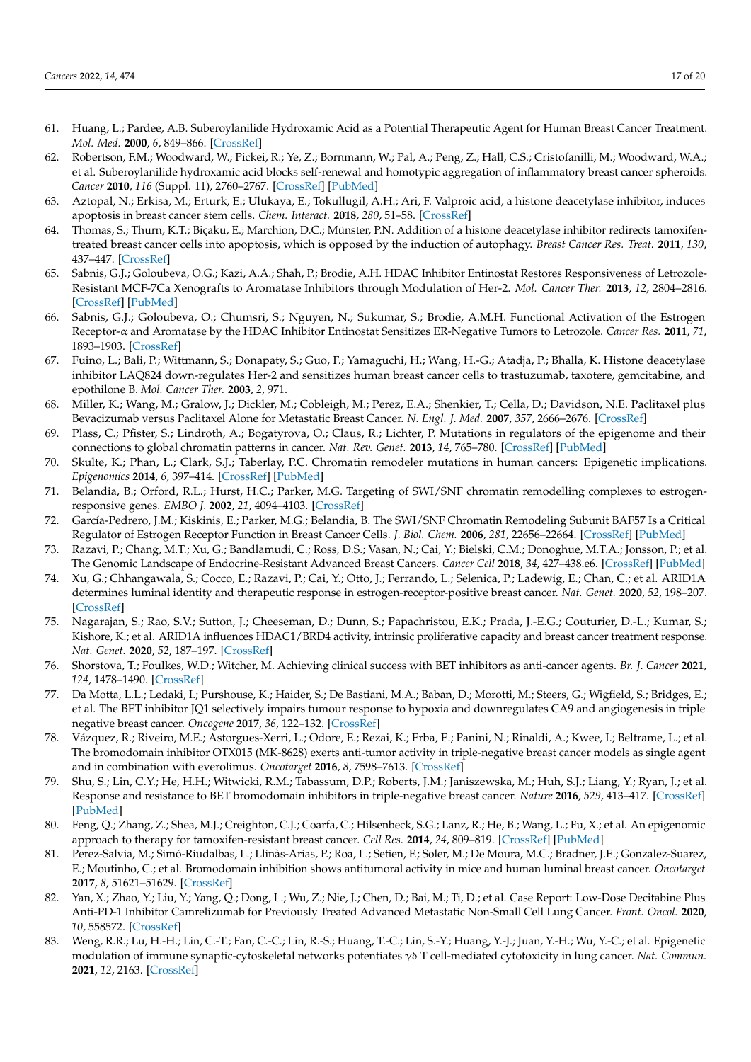- <span id="page-16-0"></span>61. Huang, L.; Pardee, A.B. Suberoylanilide Hydroxamic Acid as a Potential Therapeutic Agent for Human Breast Cancer Treatment. *Mol. Med.* **2000**, *6*, 849–866. [\[CrossRef\]](http://doi.org/10.1007/BF03401823)
- <span id="page-16-1"></span>62. Robertson, F.M.; Woodward, W.; Pickei, R.; Ye, Z.; Bornmann, W.; Pal, A.; Peng, Z.; Hall, C.S.; Cristofanilli, M.; Woodward, W.A.; et al. Suberoylanilide hydroxamic acid blocks self-renewal and homotypic aggregation of inflammatory breast cancer spheroids. *Cancer* **2010**, *116* (Suppl. 11), 2760–2767. [\[CrossRef\]](http://doi.org/10.1002/cncr.25176) [\[PubMed\]](http://www.ncbi.nlm.nih.gov/pubmed/20503408)
- <span id="page-16-2"></span>63. Aztopal, N.; Erkisa, M.; Erturk, E.; Ulukaya, E.; Tokullugil, A.H.; Ari, F. Valproic acid, a histone deacetylase inhibitor, induces apoptosis in breast cancer stem cells. *Chem. Interact.* **2018**, *280*, 51–58. [\[CrossRef\]](http://doi.org/10.1016/j.cbi.2017.12.003)
- <span id="page-16-3"></span>64. Thomas, S.; Thurn, K.T.; Biçaku, E.; Marchion, D.C.; Münster, P.N. Addition of a histone deacetylase inhibitor redirects tamoxifentreated breast cancer cells into apoptosis, which is opposed by the induction of autophagy. *Breast Cancer Res. Treat.* **2011**, *130*, 437–447. [\[CrossRef\]](http://doi.org/10.1007/s10549-011-1364-y)
- <span id="page-16-4"></span>65. Sabnis, G.J.; Goloubeva, O.G.; Kazi, A.A.; Shah, P.; Brodie, A.H. HDAC Inhibitor Entinostat Restores Responsiveness of Letrozole-Resistant MCF-7Ca Xenografts to Aromatase Inhibitors through Modulation of Her-2. *Mol. Cancer Ther.* **2013**, *12*, 2804–2816. [\[CrossRef\]](http://doi.org/10.1158/1535-7163.MCT-13-0345) [\[PubMed\]](http://www.ncbi.nlm.nih.gov/pubmed/24092810)
- <span id="page-16-5"></span>66. Sabnis, G.J.; Goloubeva, O.; Chumsri, S.; Nguyen, N.; Sukumar, S.; Brodie, A.M.H. Functional Activation of the Estrogen Receptor-α and Aromatase by the HDAC Inhibitor Entinostat Sensitizes ER-Negative Tumors to Letrozole. *Cancer Res.* **2011**, *71*, 1893–1903. [\[CrossRef\]](http://doi.org/10.1158/0008-5472.CAN-10-2458)
- <span id="page-16-6"></span>67. Fuino, L.; Bali, P.; Wittmann, S.; Donapaty, S.; Guo, F.; Yamaguchi, H.; Wang, H.-G.; Atadja, P.; Bhalla, K. Histone deacetylase inhibitor LAQ824 down-regulates Her-2 and sensitizes human breast cancer cells to trastuzumab, taxotere, gemcitabine, and epothilone B. *Mol. Cancer Ther.* **2003**, *2*, 971.
- <span id="page-16-7"></span>68. Miller, K.; Wang, M.; Gralow, J.; Dickler, M.; Cobleigh, M.; Perez, E.A.; Shenkier, T.; Cella, D.; Davidson, N.E. Paclitaxel plus Bevacizumab versus Paclitaxel Alone for Metastatic Breast Cancer. *N. Engl. J. Med.* **2007**, *357*, 2666–2676. [\[CrossRef\]](http://doi.org/10.1056/NEJMoa072113)
- <span id="page-16-8"></span>69. Plass, C.; Pfister, S.; Lindroth, A.; Bogatyrova, O.; Claus, R.; Lichter, P. Mutations in regulators of the epigenome and their connections to global chromatin patterns in cancer. *Nat. Rev. Genet.* **2013**, *14*, 765–780. [\[CrossRef\]](http://doi.org/10.1038/nrg3554) [\[PubMed\]](http://www.ncbi.nlm.nih.gov/pubmed/24105274)
- <span id="page-16-9"></span>70. Skulte, K.; Phan, L.; Clark, S.J.; Taberlay, P.C. Chromatin remodeler mutations in human cancers: Epigenetic implications. *Epigenomics* **2014**, *6*, 397–414. [\[CrossRef\]](http://doi.org/10.2217/epi.14.37) [\[PubMed\]](http://www.ncbi.nlm.nih.gov/pubmed/25333849)
- <span id="page-16-10"></span>71. Belandia, B.; Orford, R.L.; Hurst, H.C.; Parker, M.G. Targeting of SWI/SNF chromatin remodelling complexes to estrogenresponsive genes. *EMBO J.* **2002**, *21*, 4094–4103. [\[CrossRef\]](http://doi.org/10.1093/emboj/cdf412)
- <span id="page-16-11"></span>72. García-Pedrero, J.M.; Kiskinis, E.; Parker, M.G.; Belandia, B. The SWI/SNF Chromatin Remodeling Subunit BAF57 Is a Critical Regulator of Estrogen Receptor Function in Breast Cancer Cells. *J. Biol. Chem.* **2006**, *281*, 22656–22664. [\[CrossRef\]](http://doi.org/10.1074/jbc.M602561200) [\[PubMed\]](http://www.ncbi.nlm.nih.gov/pubmed/16769725)
- <span id="page-16-12"></span>73. Razavi, P.; Chang, M.T.; Xu, G.; Bandlamudi, C.; Ross, D.S.; Vasan, N.; Cai, Y.; Bielski, C.M.; Donoghue, M.T.A.; Jonsson, P.; et al. The Genomic Landscape of Endocrine-Resistant Advanced Breast Cancers. *Cancer Cell* **2018**, *34*, 427–438.e6. [\[CrossRef\]](http://doi.org/10.1016/j.ccell.2018.08.008) [\[PubMed\]](http://www.ncbi.nlm.nih.gov/pubmed/30205045)
- <span id="page-16-13"></span>74. Xu, G.; Chhangawala, S.; Cocco, E.; Razavi, P.; Cai, Y.; Otto, J.; Ferrando, L.; Selenica, P.; Ladewig, E.; Chan, C.; et al. ARID1A determines luminal identity and therapeutic response in estrogen-receptor-positive breast cancer. *Nat. Genet.* **2020**, *52*, 198–207. [\[CrossRef\]](http://doi.org/10.1038/s41588-019-0554-0)
- <span id="page-16-14"></span>75. Nagarajan, S.; Rao, S.V.; Sutton, J.; Cheeseman, D.; Dunn, S.; Papachristou, E.K.; Prada, J.-E.G.; Couturier, D.-L.; Kumar, S.; Kishore, K.; et al. ARID1A influences HDAC1/BRD4 activity, intrinsic proliferative capacity and breast cancer treatment response. *Nat. Genet.* **2020**, *52*, 187–197. [\[CrossRef\]](http://doi.org/10.1038/s41588-019-0541-5)
- <span id="page-16-15"></span>76. Shorstova, T.; Foulkes, W.D.; Witcher, M. Achieving clinical success with BET inhibitors as anti-cancer agents. *Br. J. Cancer* **2021**, *124*, 1478–1490. [\[CrossRef\]](http://doi.org/10.1038/s41416-021-01321-0)
- <span id="page-16-16"></span>77. Da Motta, L.L.; Ledaki, I.; Purshouse, K.; Haider, S.; De Bastiani, M.A.; Baban, D.; Morotti, M.; Steers, G.; Wigfield, S.; Bridges, E.; et al. The BET inhibitor JQ1 selectively impairs tumour response to hypoxia and downregulates CA9 and angiogenesis in triple negative breast cancer. *Oncogene* **2017**, *36*, 122–132. [\[CrossRef\]](http://doi.org/10.1038/onc.2016.184)
- 78. Vázquez, R.; Riveiro, M.E.; Astorgues-Xerri, L.; Odore, E.; Rezai, K.; Erba, E.; Panini, N.; Rinaldi, A.; Kwee, I.; Beltrame, L.; et al. The bromodomain inhibitor OTX015 (MK-8628) exerts anti-tumor activity in triple-negative breast cancer models as single agent and in combination with everolimus. *Oncotarget* **2016**, *8*, 7598–7613. [\[CrossRef\]](http://doi.org/10.18632/oncotarget.13814)
- <span id="page-16-17"></span>79. Shu, S.; Lin, C.Y.; He, H.H.; Witwicki, R.M.; Tabassum, D.P.; Roberts, J.M.; Janiszewska, M.; Huh, S.J.; Liang, Y.; Ryan, J.; et al. Response and resistance to BET bromodomain inhibitors in triple-negative breast cancer. *Nature* **2016**, *529*, 413–417. [\[CrossRef\]](http://doi.org/10.1038/nature16508) [\[PubMed\]](http://www.ncbi.nlm.nih.gov/pubmed/26735014)
- <span id="page-16-18"></span>80. Feng, Q.; Zhang, Z.; Shea, M.J.; Creighton, C.J.; Coarfa, C.; Hilsenbeck, S.G.; Lanz, R.; He, B.; Wang, L.; Fu, X.; et al. An epigenomic approach to therapy for tamoxifen-resistant breast cancer. *Cell Res.* **2014**, *24*, 809–819. [\[CrossRef\]](http://doi.org/10.1038/cr.2014.71) [\[PubMed\]](http://www.ncbi.nlm.nih.gov/pubmed/24874954)
- <span id="page-16-19"></span>81. Perez-Salvia, M.; Simó-Riudalbas, L.; Llinàs-Arias, P.; Roa, L.; Setien, F.; Soler, M.; De Moura, M.C.; Bradner, J.E.; Gonzalez-Suarez, E.; Moutinho, C.; et al. Bromodomain inhibition shows antitumoral activity in mice and human luminal breast cancer. *Oncotarget* **2017**, *8*, 51621–51629. [\[CrossRef\]](http://doi.org/10.18632/oncotarget.18255)
- <span id="page-16-20"></span>82. Yan, X.; Zhao, Y.; Liu, Y.; Yang, Q.; Dong, L.; Wu, Z.; Nie, J.; Chen, D.; Bai, M.; Ti, D.; et al. Case Report: Low-Dose Decitabine Plus Anti-PD-1 Inhibitor Camrelizumab for Previously Treated Advanced Metastatic Non-Small Cell Lung Cancer. *Front. Oncol.* **2020**, *10*, 558572. [\[CrossRef\]](http://doi.org/10.3389/fonc.2020.558572)
- <span id="page-16-21"></span>83. Weng, R.R.; Lu, H.-H.; Lin, C.-T.; Fan, C.-C.; Lin, R.-S.; Huang, T.-C.; Lin, S.-Y.; Huang, Y.-J.; Juan, Y.-H.; Wu, Y.-C.; et al. Epigenetic modulation of immune synaptic-cytoskeletal networks potentiates γδ T cell-mediated cytotoxicity in lung cancer. *Nat. Commun.* **2021**, *12*, 2163. [\[CrossRef\]](http://doi.org/10.1038/s41467-021-22433-4)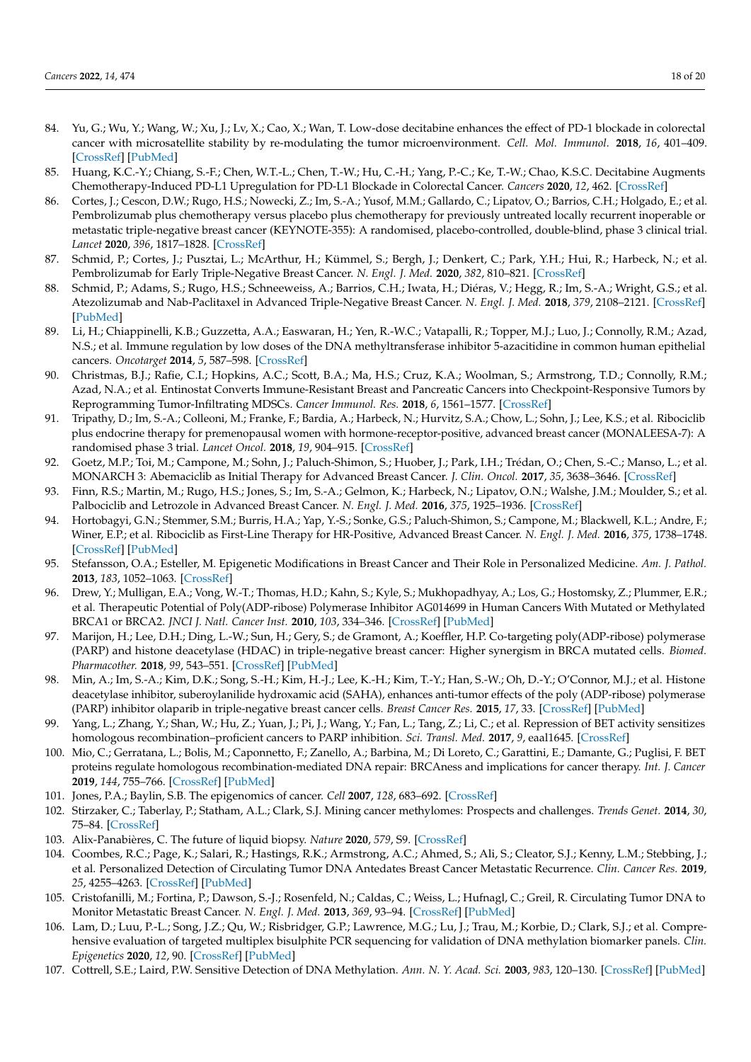- <span id="page-17-0"></span>84. Yu, G.; Wu, Y.; Wang, W.; Xu, J.; Lv, X.; Cao, X.; Wan, T. Low-dose decitabine enhances the effect of PD-1 blockade in colorectal cancer with microsatellite stability by re-modulating the tumor microenvironment. *Cell. Mol. Immunol.* **2018**, *16*, 401–409. [\[CrossRef\]](http://doi.org/10.1038/s41423-018-0026-y) [\[PubMed\]](http://www.ncbi.nlm.nih.gov/pubmed/29622799)
- <span id="page-17-1"></span>85. Huang, K.C.-Y.; Chiang, S.-F.; Chen, W.T.-L.; Chen, T.-W.; Hu, C.-H.; Yang, P.-C.; Ke, T.-W.; Chao, K.S.C. Decitabine Augments Chemotherapy-Induced PD-L1 Upregulation for PD-L1 Blockade in Colorectal Cancer. *Cancers* **2020**, *12*, 462. [\[CrossRef\]](http://doi.org/10.3390/cancers12020462)
- <span id="page-17-2"></span>86. Cortes, J.; Cescon, D.W.; Rugo, H.S.; Nowecki, Z.; Im, S.-A.; Yusof, M.M.; Gallardo, C.; Lipatov, O.; Barrios, C.H.; Holgado, E.; et al. Pembrolizumab plus chemotherapy versus placebo plus chemotherapy for previously untreated locally recurrent inoperable or metastatic triple-negative breast cancer (KEYNOTE-355): A randomised, placebo-controlled, double-blind, phase 3 clinical trial. *Lancet* **2020**, *396*, 1817–1828. [\[CrossRef\]](http://doi.org/10.1016/S0140-6736(20)32531-9)
- 87. Schmid, P.; Cortes, J.; Pusztai, L.; McArthur, H.; Kümmel, S.; Bergh, J.; Denkert, C.; Park, Y.H.; Hui, R.; Harbeck, N.; et al. Pembrolizumab for Early Triple-Negative Breast Cancer. *N. Engl. J. Med.* **2020**, *382*, 810–821. [\[CrossRef\]](http://doi.org/10.1056/NEJMoa1910549)
- <span id="page-17-3"></span>88. Schmid, P.; Adams, S.; Rugo, H.S.; Schneeweiss, A.; Barrios, C.H.; Iwata, H.; Diéras, V.; Hegg, R.; Im, S.-A.; Wright, G.S.; et al. Atezolizumab and Nab-Paclitaxel in Advanced Triple-Negative Breast Cancer. *N. Engl. J. Med.* **2018**, *379*, 2108–2121. [\[CrossRef\]](http://doi.org/10.1056/NEJMoa1809615) [\[PubMed\]](http://www.ncbi.nlm.nih.gov/pubmed/30345906)
- <span id="page-17-4"></span>89. Li, H.; Chiappinelli, K.B.; Guzzetta, A.A.; Easwaran, H.; Yen, R.-W.C.; Vatapalli, R.; Topper, M.J.; Luo, J.; Connolly, R.M.; Azad, N.S.; et al. Immune regulation by low doses of the DNA methyltransferase inhibitor 5-azacitidine in common human epithelial cancers. *Oncotarget* **2014**, *5*, 587–598. [\[CrossRef\]](http://doi.org/10.18632/oncotarget.1782)
- <span id="page-17-5"></span>90. Christmas, B.J.; Rafie, C.I.; Hopkins, A.C.; Scott, B.A.; Ma, H.S.; Cruz, K.A.; Woolman, S.; Armstrong, T.D.; Connolly, R.M.; Azad, N.A.; et al. Entinostat Converts Immune-Resistant Breast and Pancreatic Cancers into Checkpoint-Responsive Tumors by Reprogramming Tumor-Infiltrating MDSCs. *Cancer Immunol. Res.* **2018**, *6*, 1561–1577. [\[CrossRef\]](http://doi.org/10.1158/2326-6066.CIR-18-0070)
- <span id="page-17-6"></span>91. Tripathy, D.; Im, S.-A.; Colleoni, M.; Franke, F.; Bardia, A.; Harbeck, N.; Hurvitz, S.A.; Chow, L.; Sohn, J.; Lee, K.S.; et al. Ribociclib plus endocrine therapy for premenopausal women with hormone-receptor-positive, advanced breast cancer (MONALEESA-7): A randomised phase 3 trial. *Lancet Oncol.* **2018**, *19*, 904–915. [\[CrossRef\]](http://doi.org/10.1016/S1470-2045(18)30292-4)
- 92. Goetz, M.P.; Toi, M.; Campone, M.; Sohn, J.; Paluch-Shimon, S.; Huober, J.; Park, I.H.; Trédan, O.; Chen, S.-C.; Manso, L.; et al. MONARCH 3: Abemaciclib as Initial Therapy for Advanced Breast Cancer. *J. Clin. Oncol.* **2017**, *35*, 3638–3646. [\[CrossRef\]](http://doi.org/10.1200/JCO.2017.75.6155)
- 93. Finn, R.S.; Martin, M.; Rugo, H.S.; Jones, S.; Im, S.-A.; Gelmon, K.; Harbeck, N.; Lipatov, O.N.; Walshe, J.M.; Moulder, S.; et al. Palbociclib and Letrozole in Advanced Breast Cancer. *N. Engl. J. Med.* **2016**, *375*, 1925–1936. [\[CrossRef\]](http://doi.org/10.1056/NEJMoa1607303)
- <span id="page-17-7"></span>94. Hortobagyi, G.N.; Stemmer, S.M.; Burris, H.A.; Yap, Y.-S.; Sonke, G.S.; Paluch-Shimon, S.; Campone, M.; Blackwell, K.L.; Andre, F.; Winer, E.P.; et al. Ribociclib as First-Line Therapy for HR-Positive, Advanced Breast Cancer. *N. Engl. J. Med.* **2016**, *375*, 1738–1748. [\[CrossRef\]](http://doi.org/10.1056/NEJMoa1609709) [\[PubMed\]](http://www.ncbi.nlm.nih.gov/pubmed/27717303)
- <span id="page-17-8"></span>95. Stefansson, O.A.; Esteller, M. Epigenetic Modifications in Breast Cancer and Their Role in Personalized Medicine. *Am. J. Pathol.* **2013**, *183*, 1052–1063. [\[CrossRef\]](http://doi.org/10.1016/j.ajpath.2013.04.033)
- <span id="page-17-9"></span>96. Drew, Y.; Mulligan, E.A.; Vong, W.-T.; Thomas, H.D.; Kahn, S.; Kyle, S.; Mukhopadhyay, A.; Los, G.; Hostomsky, Z.; Plummer, E.R.; et al. Therapeutic Potential of Poly(ADP-ribose) Polymerase Inhibitor AG014699 in Human Cancers With Mutated or Methylated BRCA1 or BRCA2. *JNCI J. Natl. Cancer Inst.* **2010**, *103*, 334–346. [\[CrossRef\]](http://doi.org/10.1093/jnci/djq509) [\[PubMed\]](http://www.ncbi.nlm.nih.gov/pubmed/21183737)
- <span id="page-17-10"></span>97. Marijon, H.; Lee, D.H.; Ding, L.-W.; Sun, H.; Gery, S.; de Gramont, A.; Koeffler, H.P. Co-targeting poly(ADP-ribose) polymerase (PARP) and histone deacetylase (HDAC) in triple-negative breast cancer: Higher synergism in BRCA mutated cells. *Biomed. Pharmacother.* **2018**, *99*, 543–551. [\[CrossRef\]](http://doi.org/10.1016/j.biopha.2018.01.045) [\[PubMed\]](http://www.ncbi.nlm.nih.gov/pubmed/29902865)
- <span id="page-17-11"></span>98. Min, A.; Im, S.-A.; Kim, D.K.; Song, S.-H.; Kim, H.-J.; Lee, K.-H.; Kim, T.-Y.; Han, S.-W.; Oh, D.-Y.; O'Connor, M.J.; et al. Histone deacetylase inhibitor, suberoylanilide hydroxamic acid (SAHA), enhances anti-tumor effects of the poly (ADP-ribose) polymerase (PARP) inhibitor olaparib in triple-negative breast cancer cells. *Breast Cancer Res.* **2015**, *17*, 33. [\[CrossRef\]](http://doi.org/10.1186/s13058-015-0534-y) [\[PubMed\]](http://www.ncbi.nlm.nih.gov/pubmed/25888415)
- <span id="page-17-12"></span>99. Yang, L.; Zhang, Y.; Shan, W.; Hu, Z.; Yuan, J.; Pi, J.; Wang, Y.; Fan, L.; Tang, Z.; Li, C.; et al. Repression of BET activity sensitizes homologous recombination–proficient cancers to PARP inhibition. *Sci. Transl. Med.* **2017**, *9*, eaal1645. [\[CrossRef\]](http://doi.org/10.1126/scitranslmed.aal1645)
- <span id="page-17-13"></span>100. Mio, C.; Gerratana, L.; Bolis, M.; Caponnetto, F.; Zanello, A.; Barbina, M.; Di Loreto, C.; Garattini, E.; Damante, G.; Puglisi, F. BET proteins regulate homologous recombination-mediated DNA repair: BRCAness and implications for cancer therapy. *Int. J. Cancer* **2019**, *144*, 755–766. [\[CrossRef\]](http://doi.org/10.1002/ijc.31898) [\[PubMed\]](http://www.ncbi.nlm.nih.gov/pubmed/30259975)
- <span id="page-17-14"></span>101. Jones, P.A.; Baylin, S.B. The epigenomics of cancer. *Cell* **2007**, *128*, 683–692. [\[CrossRef\]](http://doi.org/10.1016/j.cell.2007.01.029)
- <span id="page-17-15"></span>102. Stirzaker, C.; Taberlay, P.; Statham, A.L.; Clark, S.J. Mining cancer methylomes: Prospects and challenges. *Trends Genet.* **2014**, *30*, 75–84. [\[CrossRef\]](http://doi.org/10.1016/j.tig.2013.11.004)
- <span id="page-17-16"></span>103. Alix-Panabières, C. The future of liquid biopsy. *Nature* **2020**, *579*, S9. [\[CrossRef\]](http://doi.org/10.1038/d41586-020-00844-5)
- <span id="page-17-17"></span>104. Coombes, R.C.; Page, K.; Salari, R.; Hastings, R.K.; Armstrong, A.C.; Ahmed, S.; Ali, S.; Cleator, S.J.; Kenny, L.M.; Stebbing, J.; et al. Personalized Detection of Circulating Tumor DNA Antedates Breast Cancer Metastatic Recurrence. *Clin. Cancer Res.* **2019**, *25*, 4255–4263. [\[CrossRef\]](http://doi.org/10.1158/1078-0432.CCR-18-3663) [\[PubMed\]](http://www.ncbi.nlm.nih.gov/pubmed/30992300)
- <span id="page-17-18"></span>105. Cristofanilli, M.; Fortina, P.; Dawson, S.-J.; Rosenfeld, N.; Caldas, C.; Weiss, L.; Hufnagl, C.; Greil, R. Circulating Tumor DNA to Monitor Metastatic Breast Cancer. *N. Engl. J. Med.* **2013**, *369*, 93–94. [\[CrossRef\]](http://doi.org/10.1056/nejmc1306040) [\[PubMed\]](http://www.ncbi.nlm.nih.gov/pubmed/23822789)
- <span id="page-17-19"></span>106. Lam, D.; Luu, P.-L.; Song, J.Z.; Qu, W.; Risbridger, G.P.; Lawrence, M.G.; Lu, J.; Trau, M.; Korbie, D.; Clark, S.J.; et al. Comprehensive evaluation of targeted multiplex bisulphite PCR sequencing for validation of DNA methylation biomarker panels. *Clin. Epigenetics* **2020**, *12*, 90. [\[CrossRef\]](http://doi.org/10.1186/s13148-020-00880-y) [\[PubMed\]](http://www.ncbi.nlm.nih.gov/pubmed/32571390)
- <span id="page-17-20"></span>107. Cottrell, S.E.; Laird, P.W. Sensitive Detection of DNA Methylation. *Ann. N. Y. Acad. Sci.* **2003**, *983*, 120–130. [\[CrossRef\]](http://doi.org/10.1111/j.1749-6632.2003.tb05967.x) [\[PubMed\]](http://www.ncbi.nlm.nih.gov/pubmed/12724217)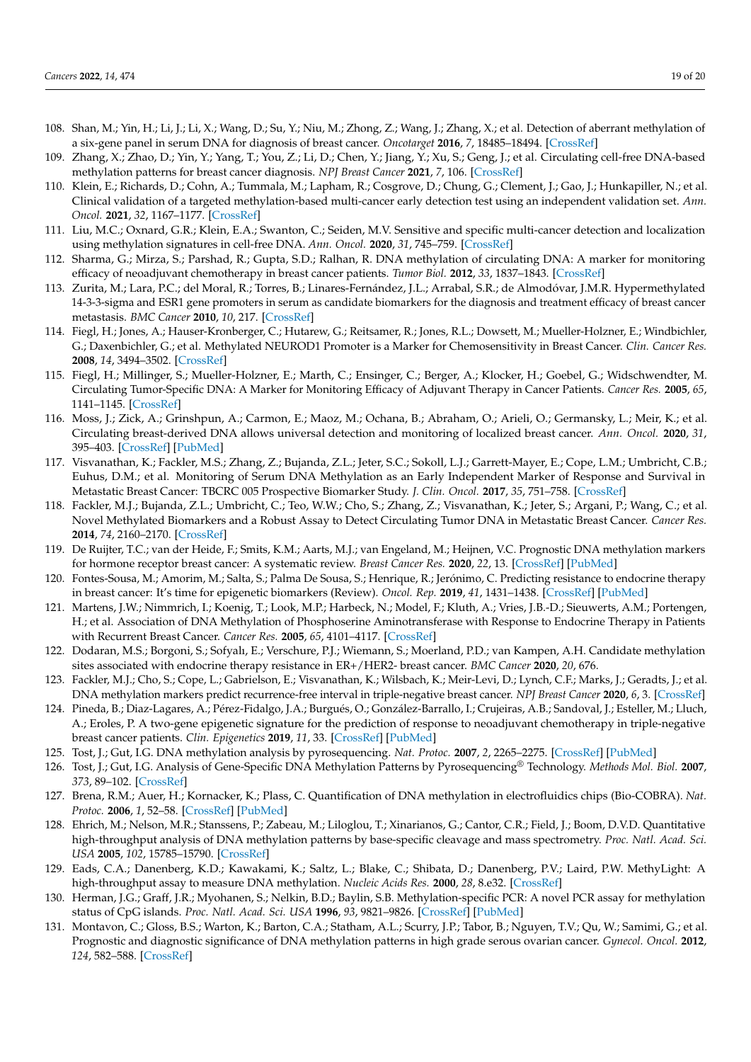- <span id="page-18-0"></span>108. Shan, M.; Yin, H.; Li, J.; Li, X.; Wang, D.; Su, Y.; Niu, M.; Zhong, Z.; Wang, J.; Zhang, X.; et al. Detection of aberrant methylation of a six-gene panel in serum DNA for diagnosis of breast cancer. *Oncotarget* **2016**, *7*, 18485–18494. [\[CrossRef\]](http://doi.org/10.18632/oncotarget.7608)
- <span id="page-18-1"></span>109. Zhang, X.; Zhao, D.; Yin, Y.; Yang, T.; You, Z.; Li, D.; Chen, Y.; Jiang, Y.; Xu, S.; Geng, J.; et al. Circulating cell-free DNA-based methylation patterns for breast cancer diagnosis. *NPJ Breast Cancer* **2021**, *7*, 106. [\[CrossRef\]](http://doi.org/10.1038/s41523-021-00316-7)
- <span id="page-18-2"></span>110. Klein, E.; Richards, D.; Cohn, A.; Tummala, M.; Lapham, R.; Cosgrove, D.; Chung, G.; Clement, J.; Gao, J.; Hunkapiller, N.; et al. Clinical validation of a targeted methylation-based multi-cancer early detection test using an independent validation set. *Ann. Oncol.* **2021**, *32*, 1167–1177. [\[CrossRef\]](http://doi.org/10.1016/j.annonc.2021.05.806)
- <span id="page-18-3"></span>111. Liu, M.C.; Oxnard, G.R.; Klein, E.A.; Swanton, C.; Seiden, M.V. Sensitive and specific multi-cancer detection and localization using methylation signatures in cell-free DNA. *Ann. Oncol.* **2020**, *31*, 745–759. [\[CrossRef\]](http://doi.org/10.1016/j.annonc.2020.02.011)
- <span id="page-18-4"></span>112. Sharma, G.; Mirza, S.; Parshad, R.; Gupta, S.D.; Ralhan, R. DNA methylation of circulating DNA: A marker for monitoring efficacy of neoadjuvant chemotherapy in breast cancer patients. *Tumor Biol.* **2012**, *33*, 1837–1843. [\[CrossRef\]](http://doi.org/10.1007/s13277-012-0443-y)
- <span id="page-18-5"></span>113. Zurita, M.; Lara, P.C.; del Moral, R.; Torres, B.; Linares-Fernández, J.L.; Arrabal, S.R.; de Almodóvar, J.M.R. Hypermethylated 14-3-3-sigma and ESR1 gene promoters in serum as candidate biomarkers for the diagnosis and treatment efficacy of breast cancer metastasis. *BMC Cancer* **2010**, *10*, 217. [\[CrossRef\]](http://doi.org/10.1186/1471-2407-10-217)
- <span id="page-18-6"></span>114. Fiegl, H.; Jones, A.; Hauser-Kronberger, C.; Hutarew, G.; Reitsamer, R.; Jones, R.L.; Dowsett, M.; Mueller-Holzner, E.; Windbichler, G.; Daxenbichler, G.; et al. Methylated NEUROD1 Promoter is a Marker for Chemosensitivity in Breast Cancer. *Clin. Cancer Res.* **2008**, *14*, 3494–3502. [\[CrossRef\]](http://doi.org/10.1158/1078-0432.CCR-07-4557)
- <span id="page-18-7"></span>115. Fiegl, H.; Millinger, S.; Mueller-Holzner, E.; Marth, C.; Ensinger, C.; Berger, A.; Klocker, H.; Goebel, G.; Widschwendter, M. Circulating Tumor-Specific DNA: A Marker for Monitoring Efficacy of Adjuvant Therapy in Cancer Patients. *Cancer Res.* **2005**, *65*, 1141–1145. [\[CrossRef\]](http://doi.org/10.1158/0008-5472.CAN-04-2438)
- <span id="page-18-8"></span>116. Moss, J.; Zick, A.; Grinshpun, A.; Carmon, E.; Maoz, M.; Ochana, B.; Abraham, O.; Arieli, O.; Germansky, L.; Meir, K.; et al. Circulating breast-derived DNA allows universal detection and monitoring of localized breast cancer. *Ann. Oncol.* **2020**, *31*, 395–403. [\[CrossRef\]](http://doi.org/10.1016/j.annonc.2019.11.014) [\[PubMed\]](http://www.ncbi.nlm.nih.gov/pubmed/32067681)
- <span id="page-18-9"></span>117. Visvanathan, K.; Fackler, M.S.; Zhang, Z.; Bujanda, Z.L.; Jeter, S.C.; Sokoll, L.J.; Garrett-Mayer, E.; Cope, L.M.; Umbricht, C.B.; Euhus, D.M.; et al. Monitoring of Serum DNA Methylation as an Early Independent Marker of Response and Survival in Metastatic Breast Cancer: TBCRC 005 Prospective Biomarker Study. *J. Clin. Oncol.* **2017**, *35*, 751–758. [\[CrossRef\]](http://doi.org/10.1200/JCO.2015.66.2080)
- <span id="page-18-10"></span>118. Fackler, M.J.; Bujanda, Z.L.; Umbricht, C.; Teo, W.W.; Cho, S.; Zhang, Z.; Visvanathan, K.; Jeter, S.; Argani, P.; Wang, C.; et al. Novel Methylated Biomarkers and a Robust Assay to Detect Circulating Tumor DNA in Metastatic Breast Cancer. *Cancer Res.* **2014**, *74*, 2160–2170. [\[CrossRef\]](http://doi.org/10.1158/0008-5472.CAN-13-3392)
- <span id="page-18-11"></span>119. De Ruijter, T.C.; van der Heide, F.; Smits, K.M.; Aarts, M.J.; van Engeland, M.; Heijnen, V.C. Prognostic DNA methylation markers for hormone receptor breast cancer: A systematic review. *Breast Cancer Res.* **2020**, *22*, 13. [\[CrossRef\]](http://doi.org/10.1186/s13058-020-1250-9) [\[PubMed\]](http://www.ncbi.nlm.nih.gov/pubmed/32005275)
- <span id="page-18-12"></span>120. Fontes-Sousa, M.; Amorim, M.; Salta, S.; Palma De Sousa, S.; Henrique, R.; Jerónimo, C. Predicting resistance to endocrine therapy in breast cancer: It's time for epigenetic biomarkers (Review). *Oncol. Rep.* **2019**, *41*, 1431–1438. [\[CrossRef\]](http://doi.org/10.3892/or.2019.6967) [\[PubMed\]](http://www.ncbi.nlm.nih.gov/pubmed/30664168)
- <span id="page-18-13"></span>121. Martens, J.W.; Nimmrich, I.; Koenig, T.; Look, M.P.; Harbeck, N.; Model, F.; Kluth, A.; Vries, J.B.-D.; Sieuwerts, A.M.; Portengen, H.; et al. Association of DNA Methylation of Phosphoserine Aminotransferase with Response to Endocrine Therapy in Patients with Recurrent Breast Cancer. *Cancer Res.* **2005**, *65*, 4101–4117. [\[CrossRef\]](http://doi.org/10.1158/0008-5472.CAN-05-0064)
- <span id="page-18-14"></span>122. Dodaran, M.S.; Borgoni, S.; Sofyalı, E.; Verschure, P.J.; Wiemann, S.; Moerland, P.D.; van Kampen, A.H. Candidate methylation sites associated with endocrine therapy resistance in ER+/HER2- breast cancer. *BMC Cancer* **2020**, *20*, 676.
- <span id="page-18-15"></span>123. Fackler, M.J.; Cho, S.; Cope, L.; Gabrielson, E.; Visvanathan, K.; Wilsbach, K.; Meir-Levi, D.; Lynch, C.F.; Marks, J.; Geradts, J.; et al. DNA methylation markers predict recurrence-free interval in triple-negative breast cancer. *NPJ Breast Cancer* **2020**, *6*, 3. [\[CrossRef\]](http://doi.org/10.1038/s41523-020-0145-3)
- <span id="page-18-16"></span>124. Pineda, B.; Diaz-Lagares, A.; Pérez-Fidalgo, J.A.; Burgués, O.; González-Barrallo, I.; Crujeiras, A.B.; Sandoval, J.; Esteller, M.; Lluch, A.; Eroles, P. A two-gene epigenetic signature for the prediction of response to neoadjuvant chemotherapy in triple-negative breast cancer patients. *Clin. Epigenetics* **2019**, *11*, 33. [\[CrossRef\]](http://doi.org/10.1186/s13148-019-0626-0) [\[PubMed\]](http://www.ncbi.nlm.nih.gov/pubmed/30786922)
- <span id="page-18-17"></span>125. Tost, J.; Gut, I.G. DNA methylation analysis by pyrosequencing. *Nat. Protoc.* **2007**, *2*, 2265–2275. [\[CrossRef\]](http://doi.org/10.1038/nprot.2007.314) [\[PubMed\]](http://www.ncbi.nlm.nih.gov/pubmed/17853883)
- <span id="page-18-18"></span>126. Tost, J.; Gut, I.G. Analysis of Gene-Specific DNA Methylation Patterns by Pyrosequencing® Technology. *Methods Mol. Biol.* **2007**, *373*, 89–102. [\[CrossRef\]](http://doi.org/10.1385/1-59745-377-3:89)
- <span id="page-18-19"></span>127. Brena, R.M.; Auer, H.; Kornacker, K.; Plass, C. Quantification of DNA methylation in electrofluidics chips (Bio-COBRA). *Nat. Protoc.* **2006**, *1*, 52–58. [\[CrossRef\]](http://doi.org/10.1038/nprot.2006.8) [\[PubMed\]](http://www.ncbi.nlm.nih.gov/pubmed/17406211)
- <span id="page-18-20"></span>128. Ehrich, M.; Nelson, M.R.; Stanssens, P.; Zabeau, M.; Liloglou, T.; Xinarianos, G.; Cantor, C.R.; Field, J.; Boom, D.V.D. Quantitative high-throughput analysis of DNA methylation patterns by base-specific cleavage and mass spectrometry. *Proc. Natl. Acad. Sci. USA* **2005**, *102*, 15785–15790. [\[CrossRef\]](http://doi.org/10.1073/pnas.0507816102)
- <span id="page-18-21"></span>129. Eads, C.A.; Danenberg, K.D.; Kawakami, K.; Saltz, L.; Blake, C.; Shibata, D.; Danenberg, P.V.; Laird, P.W. MethyLight: A high-throughput assay to measure DNA methylation. *Nucleic Acids Res.* **2000**, *28*, 8.e32. [\[CrossRef\]](http://doi.org/10.1093/nar/28.8.e32)
- <span id="page-18-22"></span>130. Herman, J.G.; Graff, J.R.; Myohanen, S.; Nelkin, B.D.; Baylin, S.B. Methylation-specific PCR: A novel PCR assay for methylation status of CpG islands. *Proc. Natl. Acad. Sci. USA* **1996**, *93*, 9821–9826. [\[CrossRef\]](http://doi.org/10.1073/pnas.93.18.9821) [\[PubMed\]](http://www.ncbi.nlm.nih.gov/pubmed/8790415)
- <span id="page-18-23"></span>131. Montavon, C.; Gloss, B.S.; Warton, K.; Barton, C.A.; Statham, A.L.; Scurry, J.P.; Tabor, B.; Nguyen, T.V.; Qu, W.; Samimi, G.; et al. Prognostic and diagnostic significance of DNA methylation patterns in high grade serous ovarian cancer. *Gynecol. Oncol.* **2012**, *124*, 582–588. [\[CrossRef\]](http://doi.org/10.1016/j.ygyno.2011.11.026)